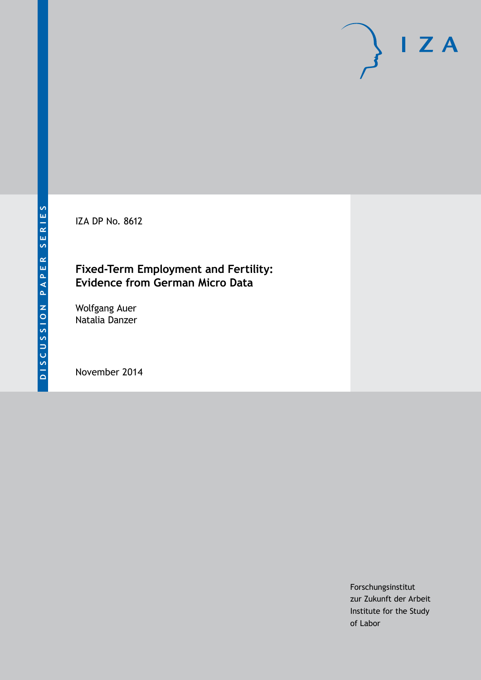IZA DP No. 8612

## **Fixed-Term Employment and Fertility: Evidence from German Micro Data**

Wolfgang Auer Natalia Danzer

November 2014

Forschungsinstitut zur Zukunft der Arbeit Institute for the Study of Labor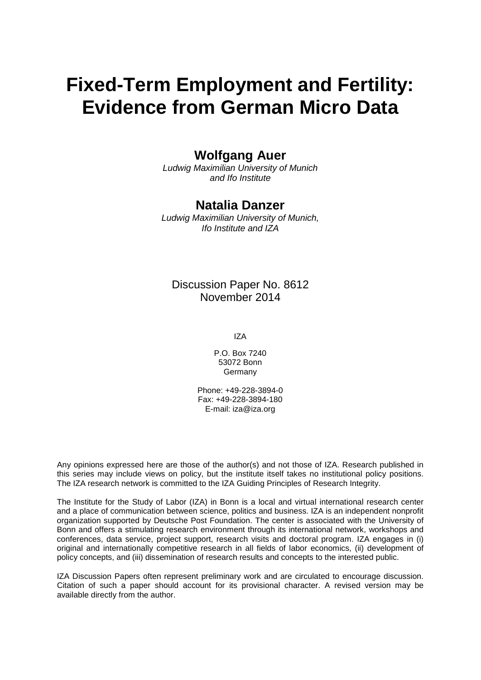# **Fixed-Term Employment and Fertility: Evidence from German Micro Data**

### **Wolfgang Auer**

*Ludwig Maximilian University of Munich and Ifo Institute*

### **Natalia Danzer**

*Ludwig Maximilian University of Munich, Ifo Institute and IZA*

### Discussion Paper No. 8612 November 2014

IZA

P.O. Box 7240 53072 Bonn Germany

Phone: +49-228-3894-0 Fax: +49-228-3894-180 E-mail: [iza@iza.org](mailto:iza@iza.org)

Any opinions expressed here are those of the author(s) and not those of IZA. Research published in this series may include views on policy, but the institute itself takes no institutional policy positions. The IZA research network is committed to the IZA Guiding Principles of Research Integrity.

The Institute for the Study of Labor (IZA) in Bonn is a local and virtual international research center and a place of communication between science, politics and business. IZA is an independent nonprofit organization supported by Deutsche Post Foundation. The center is associated with the University of Bonn and offers a stimulating research environment through its international network, workshops and conferences, data service, project support, research visits and doctoral program. IZA engages in (i) original and internationally competitive research in all fields of labor economics, (ii) development of policy concepts, and (iii) dissemination of research results and concepts to the interested public.

<span id="page-1-0"></span>IZA Discussion Papers often represent preliminary work and are circulated to encourage discussion. Citation of such a paper should account for its provisional character. A revised version may be available directly from the author.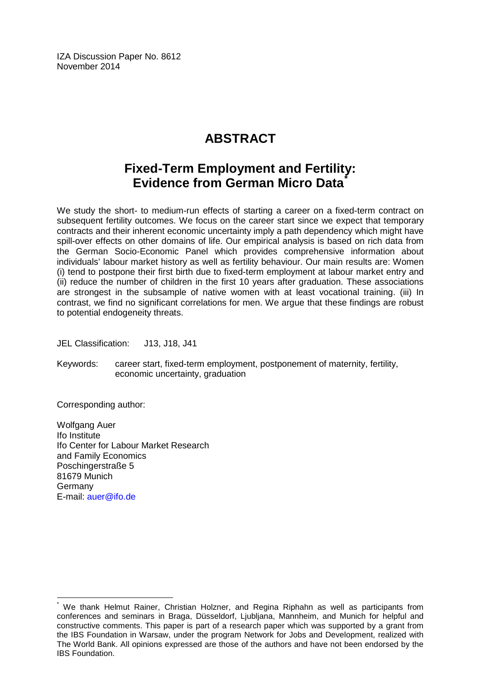IZA Discussion Paper No. 8612 November 2014

# **ABSTRACT**

# **Fixed-Term Employment and Fertility: Evidence from German Micro Data[\\*](#page-1-0)**

We study the short- to medium-run effects of starting a career on a fixed-term contract on subsequent fertility outcomes. We focus on the career start since we expect that temporary contracts and their inherent economic uncertainty imply a path dependency which might have spill-over effects on other domains of life. Our empirical analysis is based on rich data from the German Socio-Economic Panel which provides comprehensive information about individuals' labour market history as well as fertility behaviour. Our main results are: Women (i) tend to postpone their first birth due to fixed-term employment at labour market entry and (ii) reduce the number of children in the first 10 years after graduation. These associations are strongest in the subsample of native women with at least vocational training. (iii) In contrast, we find no significant correlations for men. We argue that these findings are robust to potential endogeneity threats.

JEL Classification: J13, J18, J41

Keywords: career start, fixed-term employment, postponement of maternity, fertility, economic uncertainty, graduation

Corresponding author:

Wolfgang Auer Ifo Institute Ifo Center for Labour Market Research and Family Economics Poschingerstraße 5 81679 Munich **Germany** E-mail: [auer@ifo.de](mailto:auer@ifo.de)

We thank Helmut Rainer, Christian Holzner, and Regina Riphahn as well as participants from conferences and seminars in Braga, Düsseldorf, Ljubljana, Mannheim, and Munich for helpful and constructive comments. This paper is part of a research paper which was supported by a grant from the IBS Foundation in Warsaw, under the program Network for Jobs and Development, realized with The World Bank. All opinions expressed are those of the authors and have not been endorsed by the IBS Foundation.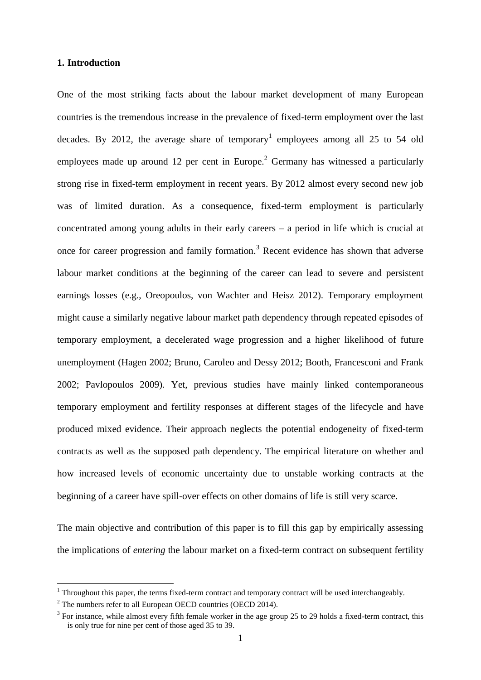#### **1. Introduction**

One of the most striking facts about the labour market development of many European countries is the tremendous increase in the prevalence of fixed-term employment over the last decades. By 2012, the average share of temporary<sup>1</sup> employees among all 25 to 54 old employees made up around 12 per cent in Europe.<sup>2</sup> Germany has witnessed a particularly strong rise in fixed-term employment in recent years. By 2012 almost every second new job was of limited duration. As a consequence, fixed-term employment is particularly concentrated among young adults in their early careers – a period in life which is crucial at once for career progression and family formation.<sup>3</sup> Recent evidence has shown that adverse labour market conditions at the beginning of the career can lead to severe and persistent earnings losses (e.g., Oreopoulos, von Wachter and Heisz 2012). Temporary employment might cause a similarly negative labour market path dependency through repeated episodes of temporary employment, a decelerated wage progression and a higher likelihood of future unemployment (Hagen 2002; Bruno, Caroleo and Dessy 2012; Booth, Francesconi and Frank 2002; Pavlopoulos 2009). Yet, previous studies have mainly linked contemporaneous temporary employment and fertility responses at different stages of the lifecycle and have produced mixed evidence. Their approach neglects the potential endogeneity of fixed-term contracts as well as the supposed path dependency. The empirical literature on whether and how increased levels of economic uncertainty due to unstable working contracts at the beginning of a career have spill-over effects on other domains of life is still very scarce.

The main objective and contribution of this paper is to fill this gap by empirically assessing the implications of *entering* the labour market on a fixed-term contract on subsequent fertility

 $1$  Throughout this paper, the terms fixed-term contract and temporary contract will be used interchangeably.

 $2^2$  The numbers refer to all European OECD countries (OECD 2014).

 $3$  For instance, while almost every fifth female worker in the age group 25 to 29 holds a fixed-term contract, this is only true for nine per cent of those aged 35 to 39.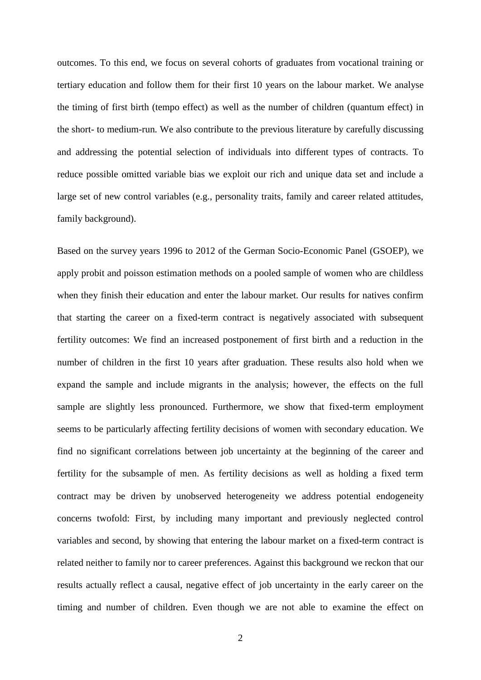outcomes. To this end, we focus on several cohorts of graduates from vocational training or tertiary education and follow them for their first 10 years on the labour market. We analyse the timing of first birth (tempo effect) as well as the number of children (quantum effect) in the short- to medium-run. We also contribute to the previous literature by carefully discussing and addressing the potential selection of individuals into different types of contracts. To reduce possible omitted variable bias we exploit our rich and unique data set and include a large set of new control variables (e.g., personality traits, family and career related attitudes, family background).

Based on the survey years 1996 to 2012 of the German Socio-Economic Panel (GSOEP), we apply probit and poisson estimation methods on a pooled sample of women who are childless when they finish their education and enter the labour market. Our results for natives confirm that starting the career on a fixed-term contract is negatively associated with subsequent fertility outcomes: We find an increased postponement of first birth and a reduction in the number of children in the first 10 years after graduation. These results also hold when we expand the sample and include migrants in the analysis; however, the effects on the full sample are slightly less pronounced. Furthermore, we show that fixed-term employment seems to be particularly affecting fertility decisions of women with secondary education. We find no significant correlations between job uncertainty at the beginning of the career and fertility for the subsample of men. As fertility decisions as well as holding a fixed term contract may be driven by unobserved heterogeneity we address potential endogeneity concerns twofold: First, by including many important and previously neglected control variables and second, by showing that entering the labour market on a fixed-term contract is related neither to family nor to career preferences. Against this background we reckon that our results actually reflect a causal, negative effect of job uncertainty in the early career on the timing and number of children. Even though we are not able to examine the effect on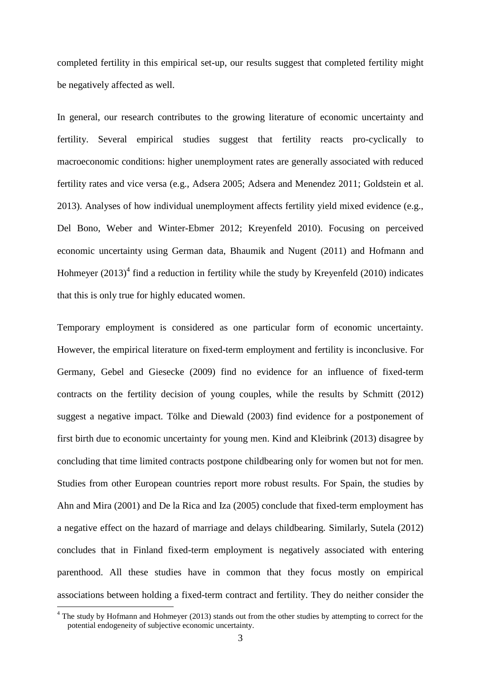completed fertility in this empirical set-up, our results suggest that completed fertility might be negatively affected as well.

In general, our research contributes to the growing literature of economic uncertainty and fertility. Several empirical studies suggest that fertility reacts pro-cyclically to macroeconomic conditions: higher unemployment rates are generally associated with reduced fertility rates and vice versa (e.g., Adsera 2005; Adsera and Menendez 2011; Goldstein et al. 2013). Analyses of how individual unemployment affects fertility yield mixed evidence (e.g., Del Bono, Weber and Winter-Ebmer 2012; Kreyenfeld 2010). Focusing on perceived economic uncertainty using German data, Bhaumik and Nugent (2011) and Hofmann and Hohmeyer  $(2013)^4$  find a reduction in fertility while the study by Kreyenfeld  $(2010)$  indicates that this is only true for highly educated women.

Temporary employment is considered as one particular form of economic uncertainty. However, the empirical literature on fixed-term employment and fertility is inconclusive. For Germany, Gebel and Giesecke (2009) find no evidence for an influence of fixed-term contracts on the fertility decision of young couples, while the results by Schmitt (2012) suggest a negative impact. Tölke and Diewald (2003) find evidence for a postponement of first birth due to economic uncertainty for young men. Kind and Kleibrink (2013) disagree by concluding that time limited contracts postpone childbearing only for women but not for men. Studies from other European countries report more robust results. For Spain, the studies by Ahn and Mira (2001) and De la Rica and Iza (2005) conclude that fixed-term employment has a negative effect on the hazard of marriage and delays childbearing. Similarly, Sutela (2012) concludes that in Finland fixed-term employment is negatively associated with entering parenthood. All these studies have in common that they focus mostly on empirical associations between holding a fixed-term contract and fertility. They do neither consider the

<sup>&</sup>lt;sup>4</sup> The study by Hofmann and Hohmeyer (2013) stands out from the other studies by attempting to correct for the potential endogeneity of subjective economic uncertainty.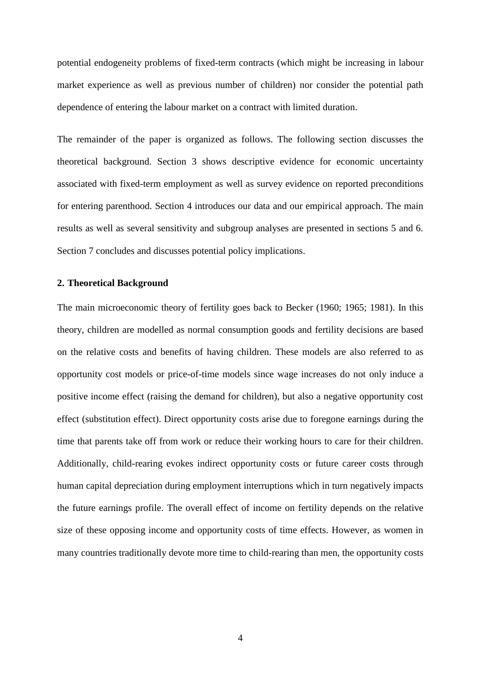potential endogeneity problems of fixed-term contracts (which might be increasing in labour market experience as well as previous number of children) nor consider the potential path dependence of entering the labour market on a contract with limited duration.

The remainder of the paper is organized as follows. The following section discusses the theoretical background. Section 3 shows descriptive evidence for economic uncertainty associated with fixed-term employment as well as survey evidence on reported preconditions for entering parenthood. Section 4 introduces our data and our empirical approach. The main results as well as several sensitivity and subgroup analyses are presented in sections 5 and 6. Section 7 concludes and discusses potential policy implications.

#### **2. Theoretical Background**

The main microeconomic theory of fertility goes back to Becker (1960; 1965; 1981). In this theory, children are modelled as normal consumption goods and fertility decisions are based on the relative costs and benefits of having children. These models are also referred to as opportunity cost models or price-of-time models since wage increases do not only induce a positive income effect (raising the demand for children), but also a negative opportunity cost effect (substitution effect). Direct opportunity costs arise due to foregone earnings during the time that parents take off from work or reduce their working hours to care for their children. Additionally, child-rearing evokes indirect opportunity costs or future career costs through human capital depreciation during employment interruptions which in turn negatively impacts the future earnings profile. The overall effect of income on fertility depends on the relative size of these opposing income and opportunity costs of time effects. However, as women in many countries traditionally devote more time to child-rearing than men, the opportunity costs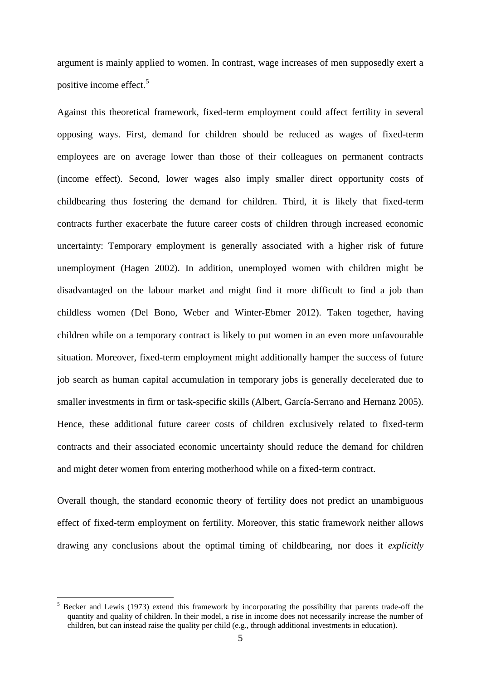argument is mainly applied to women. In contrast, wage increases of men supposedly exert a positive income effect.<sup>5</sup>

Against this theoretical framework, fixed-term employment could affect fertility in several opposing ways. First, demand for children should be reduced as wages of fixed-term employees are on average lower than those of their colleagues on permanent contracts (income effect). Second, lower wages also imply smaller direct opportunity costs of childbearing thus fostering the demand for children. Third, it is likely that fixed-term contracts further exacerbate the future career costs of children through increased economic uncertainty: Temporary employment is generally associated with a higher risk of future unemployment (Hagen 2002). In addition, unemployed women with children might be disadvantaged on the labour market and might find it more difficult to find a job than childless women (Del Bono, Weber and Winter-Ebmer 2012). Taken together, having children while on a temporary contract is likely to put women in an even more unfavourable situation. Moreover, fixed-term employment might additionally hamper the success of future job search as human capital accumulation in temporary jobs is generally decelerated due to smaller investments in firm or task-specific skills (Albert, García-Serrano and Hernanz 2005). Hence, these additional future career costs of children exclusively related to fixed-term contracts and their associated economic uncertainty should reduce the demand for children and might deter women from entering motherhood while on a fixed-term contract.

Overall though, the standard economic theory of fertility does not predict an unambiguous effect of fixed-term employment on fertility. Moreover, this static framework neither allows drawing any conclusions about the optimal timing of childbearing, nor does it *explicitly*

<sup>5</sup> Becker and Lewis (1973) extend this framework by incorporating the possibility that parents trade-off the quantity and quality of children. In their model, a rise in income does not necessarily increase the number of children, but can instead raise the quality per child (e.g., through additional investments in education).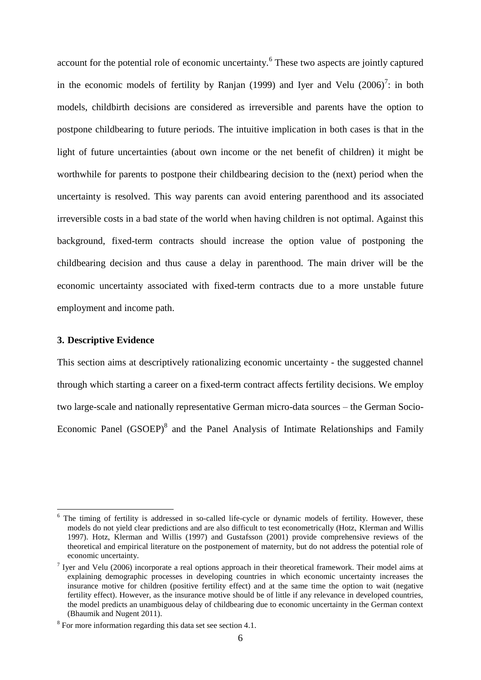account for the potential role of economic uncertainty.<sup>6</sup> These two aspects are jointly captured in the economic models of fertility by Ranjan (1999) and Iyer and Velu  $(2006)^7$ : in both models, childbirth decisions are considered as irreversible and parents have the option to postpone childbearing to future periods. The intuitive implication in both cases is that in the light of future uncertainties (about own income or the net benefit of children) it might be worthwhile for parents to postpone their childbearing decision to the (next) period when the uncertainty is resolved. This way parents can avoid entering parenthood and its associated irreversible costs in a bad state of the world when having children is not optimal. Against this background, fixed-term contracts should increase the option value of postponing the childbearing decision and thus cause a delay in parenthood. The main driver will be the economic uncertainty associated with fixed-term contracts due to a more unstable future employment and income path.

#### **3. Descriptive Evidence**

<u>.</u>

This section aims at descriptively rationalizing economic uncertainty - the suggested channel through which starting a career on a fixed-term contract affects fertility decisions. We employ two large-scale and nationally representative German micro-data sources – the German Socio-Economic Panel (GSOEP)<sup>8</sup> and the Panel Analysis of Intimate Relationships and Family

The timing of fertility is addressed in so-called life-cycle or dynamic models of fertility. However, these models do not yield clear predictions and are also difficult to test econometrically (Hotz, Klerman and Willis 1997). Hotz, Klerman and Willis (1997) and Gustafsson (2001) provide comprehensive reviews of the theoretical and empirical literature on the postponement of maternity, but do not address the potential role of economic uncertainty.

<sup>&</sup>lt;sup>7</sup> Iyer and Velu (2006) incorporate a real options approach in their theoretical framework. Their model aims at explaining demographic processes in developing countries in which economic uncertainty increases the insurance motive for children (positive fertility effect) and at the same time the option to wait (negative fertility effect). However, as the insurance motive should be of little if any relevance in developed countries, the model predicts an unambiguous delay of childbearing due to economic uncertainty in the German context (Bhaumik and Nugent 2011).

 $8$  For more information regarding this data set see section 4.1.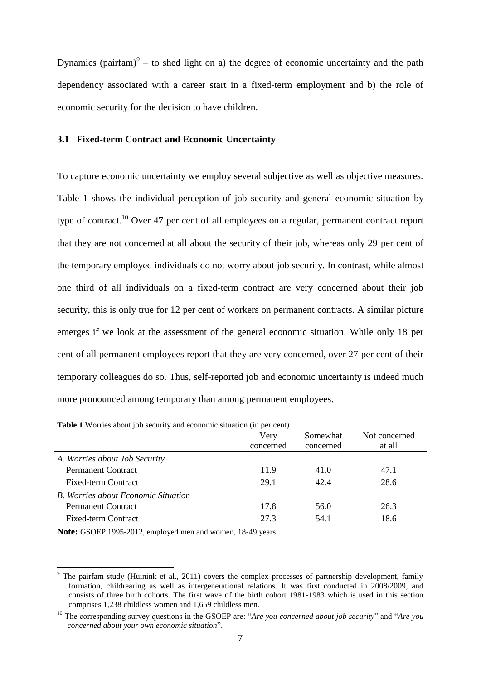Dynamics (pairfam) $9 -$  to shed light on a) the degree of economic uncertainty and the path dependency associated with a career start in a fixed-term employment and b) the role of economic security for the decision to have children.

#### **3.1 Fixed-term Contract and Economic Uncertainty**

To capture economic uncertainty we employ several subjective as well as objective measures. [Table 1](#page-9-0) shows the individual perception of job security and general economic situation by type of contract.<sup>10</sup> Over 47 per cent of all employees on a regular, permanent contract report that they are not concerned at all about the security of their job, whereas only 29 per cent of the temporary employed individuals do not worry about job security. In contrast, while almost one third of all individuals on a fixed-term contract are very concerned about their job security, this is only true for 12 per cent of workers on permanent contracts. A similar picture emerges if we look at the assessment of the general economic situation. While only 18 per cent of all permanent employees report that they are very concerned, over 27 per cent of their temporary colleagues do so. Thus, self-reported job and economic uncertainty is indeed much more pronounced among temporary than among permanent employees.

| <b>Table I</b> worries about job security and economic situation (in per cent) |           |           |               |  |  |
|--------------------------------------------------------------------------------|-----------|-----------|---------------|--|--|
|                                                                                | Very      | Somewhat  | Not concerned |  |  |
|                                                                                | concerned | concerned | at all        |  |  |
| A. Worries about Job Security                                                  |           |           |               |  |  |
| <b>Permanent Contract</b>                                                      | 11.9      | 41.0      | 47.1          |  |  |
| <b>Fixed-term Contract</b>                                                     | 29.1      | 42.4      | 28.6          |  |  |
| <b>B.</b> Worries about Economic Situation                                     |           |           |               |  |  |
| <b>Permanent Contract</b>                                                      | 17.8      | 56.0      | 26.3          |  |  |
| <b>Fixed-term Contract</b>                                                     | 27.3      | 54.1      | 18.6          |  |  |

<span id="page-9-0"></span>**Table 1** Worries about job security and economic situation (in per cent)

**Note:** GSOEP 1995-2012, employed men and women, 18-49 years.

<sup>&</sup>lt;sup>9</sup> The pairfam study (Huinink et al., 2011) covers the complex processes of partnership development, family formation, childrearing as well as intergenerational relations. It was first conducted in 2008/2009, and consists of three birth cohorts. The first wave of the birth cohort 1981-1983 which is used in this section comprises 1,238 childless women and 1,659 childless men.

<sup>10</sup> The corresponding survey questions in the GSOEP are: "*Are you concerned about job security*" and "*Are you concerned about your own economic situation*".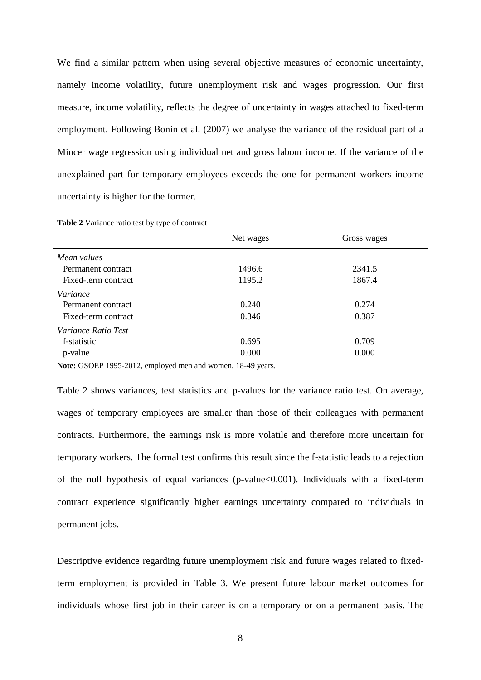We find a similar pattern when using several objective measures of economic uncertainty, namely income volatility, future unemployment risk and wages progression. Our first measure, income volatility, reflects the degree of uncertainty in wages attached to fixed-term employment. Following Bonin et al. (2007) we analyse the variance of the residual part of a Mincer wage regression using individual net and gross labour income. If the variance of the unexplained part for temporary employees exceeds the one for permanent workers income uncertainty is higher for the former.

|                            | Net wages | Gross wages |  |
|----------------------------|-----------|-------------|--|
| Mean values                |           |             |  |
| Permanent contract         | 1496.6    | 2341.5      |  |
| Fixed-term contract        | 1195.2    | 1867.4      |  |
| Variance                   |           |             |  |
| Permanent contract         | 0.240     | 0.274       |  |
| Fixed-term contract        | 0.346     | 0.387       |  |
| <i>Variance Ratio Test</i> |           |             |  |
| f-statistic                | 0.695     | 0.709       |  |
| p-value                    | 0.000     | 0.000       |  |

<span id="page-10-0"></span>**Table 2** Variance ratio test by type of contract

**Note:** GSOEP 1995-2012, employed men and women, 18-49 years.

[Table 2](#page-10-0) shows variances, test statistics and p-values for the variance ratio test. On average, wages of temporary employees are smaller than those of their colleagues with permanent contracts. Furthermore, the earnings risk is more volatile and therefore more uncertain for temporary workers. The formal test confirms this result since the f-statistic leads to a rejection of the null hypothesis of equal variances (p-value<0.001). Individuals with a fixed-term contract experience significantly higher earnings uncertainty compared to individuals in permanent jobs.

Descriptive evidence regarding future unemployment risk and future wages related to fixedterm employment is provided in [Table 3.](#page-11-0) We present future labour market outcomes for individuals whose first job in their career is on a temporary or on a permanent basis. The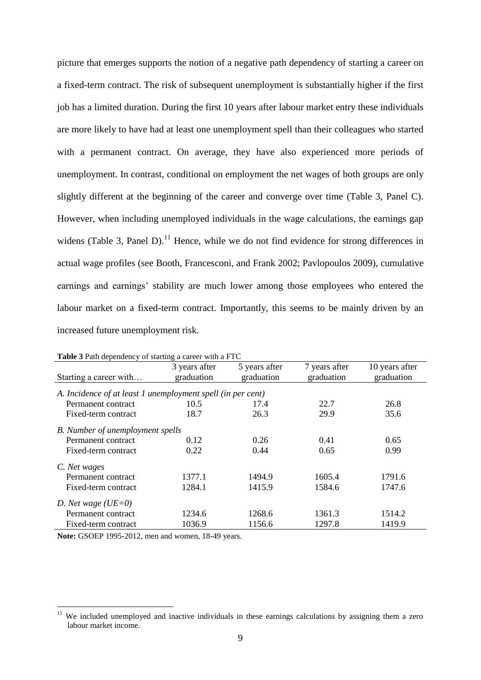picture that emerges supports the notion of a negative path dependency of starting a career on a fixed-term contract. The risk of subsequent unemployment is substantially higher if the first job has a limited duration. During the first 10 years after labour market entry these individuals are more likely to have had at least one unemployment spell than their colleagues who started with a permanent contract. On average, they have also experienced more periods of unemployment. In contrast, conditional on employment the net wages of both groups are only slightly different at the beginning of the career and converge over time [\(Table 3,](#page-11-0) Panel C). However, when including unemployed individuals in the wage calculations, the earnings gap widens [\(Table 3,](#page-11-0) Panel D). $^{11}$  Hence, while we do not find evidence for strong differences in actual wage profiles (see Booth, Francesconi, and Frank 2002; Pavlopoulos 2009), cumulative earnings and earnings' stability are much lower among those employees who entered the labour market on a fixed-term contract. Importantly, this seems to be mainly driven by an increased future unemployment risk.

|                                                             | <b>Table 5</b> I am dependency of starting a career with a FTC |                             |                             |                              |  |  |  |
|-------------------------------------------------------------|----------------------------------------------------------------|-----------------------------|-----------------------------|------------------------------|--|--|--|
| Starting a career with                                      | 3 years after<br>graduation                                    | 5 years after<br>graduation | 7 years after<br>graduation | 10 years after<br>graduation |  |  |  |
|                                                             |                                                                |                             |                             |                              |  |  |  |
| A. Incidence of at least 1 unemployment spell (in per cent) |                                                                |                             |                             |                              |  |  |  |
| Permanent contract                                          | 10.5                                                           | 17.4                        | 22.7                        | 26.8                         |  |  |  |
| Fixed-term contract                                         | 18.7                                                           | 26.3                        | 29.9                        | 35.6                         |  |  |  |
| B. Number of unemployment spells                            |                                                                |                             |                             |                              |  |  |  |
| Permanent contract                                          | 0.12                                                           | 0.26                        | 0.41                        | 0.65                         |  |  |  |
| Fixed-term contract                                         | 0.22                                                           | 0.44                        | 0.65                        | 0.99                         |  |  |  |
| C. Net wages                                                |                                                                |                             |                             |                              |  |  |  |
| Permanent contract                                          | 1377.1                                                         | 1494.9                      | 1605.4                      | 1791.6                       |  |  |  |
| Fixed-term contract                                         | 1284.1                                                         | 1415.9                      | 1584.6                      | 1747.6                       |  |  |  |
| D. Net wage ( $UE=0$ )                                      |                                                                |                             |                             |                              |  |  |  |
| Permanent contract                                          | 1234.6                                                         | 1268.6                      | 1361.3                      | 1514.2                       |  |  |  |
| Fixed-term contract                                         | 1036.9                                                         | 1156.6                      | 1297.8                      | 1419.9                       |  |  |  |

<span id="page-11-0"></span>**Table 3** Path dependency of starting a career with a FTC

**Note:** GSOEP 1995-2012, men and women, 18-49 years.

We included unemployed and inactive individuals in these earnings calculations by assigning them a zero labour market income.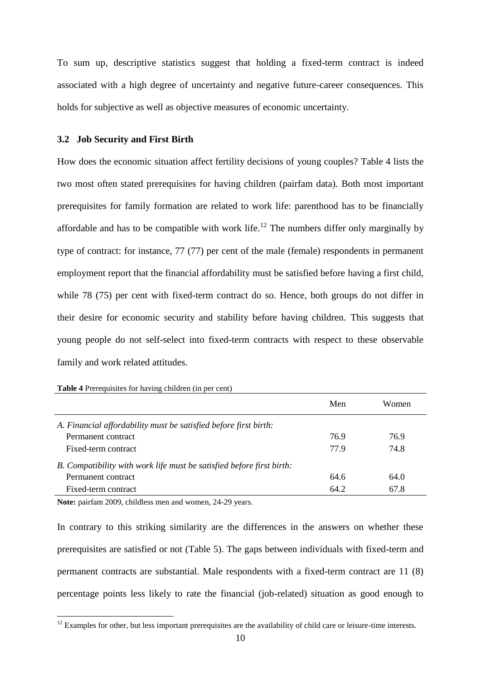To sum up, descriptive statistics suggest that holding a fixed-term contract is indeed associated with a high degree of uncertainty and negative future-career consequences. This holds for subjective as well as objective measures of economic uncertainty.

#### **3.2 Job Security and First Birth**

How does the economic situation affect fertility decisions of young couples? [Table 4](#page-12-0) lists the two most often stated prerequisites for having children (pairfam data). Both most important prerequisites for family formation are related to work life: parenthood has to be financially affordable and has to be compatible with work life.<sup>12</sup> The numbers differ only marginally by type of contract: for instance, 77 (77) per cent of the male (female) respondents in permanent employment report that the financial affordability must be satisfied before having a first child, while 78 (75) per cent with fixed-term contract do so. Hence, both groups do not differ in their desire for economic security and stability before having children. This suggests that young people do not self-select into fixed-term contracts with respect to these observable family and work related attitudes.

|                                                                       | Men  | <b>Women</b> |
|-----------------------------------------------------------------------|------|--------------|
| A. Financial affordability must be satisfied before first birth:      |      |              |
| Permanent contract                                                    | 76.9 | 76.9         |
| Fixed-term contract                                                   | 77.9 | 74.8         |
| B. Compatibility with work life must be satisfied before first birth: |      |              |
| Permanent contract                                                    | 64.6 | 64.0         |
| Fixed-term contract                                                   | 64.2 | 67.8         |

<span id="page-12-0"></span>**Table 4** Prerequisites for having children (in per cent)

**Note:** pairfam 2009, childless men and women, 24-29 years.

<u>.</u>

In contrary to this striking similarity are the differences in the answers on whether these prerequisites are satisfied or not [\(Table 5\)](#page-13-0). The gaps between individuals with fixed-term and permanent contracts are substantial. Male respondents with a fixed-term contract are 11 (8) percentage points less likely to rate the financial (job-related) situation as good enough to

 $12$  Examples for other, but less important prerequisites are the availability of child care or leisure-time interests.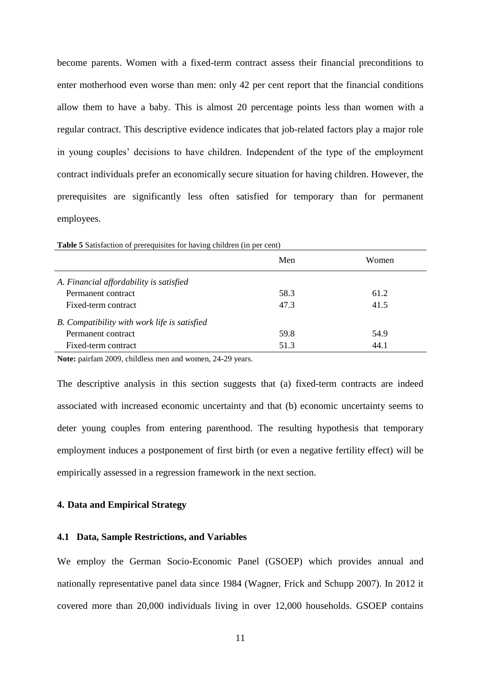become parents. Women with a fixed-term contract assess their financial preconditions to enter motherhood even worse than men: only 42 per cent report that the financial conditions allow them to have a baby. This is almost 20 percentage points less than women with a regular contract. This descriptive evidence indicates that job-related factors play a major role in young couples' decisions to have children. Independent of the type of the employment contract individuals prefer an economically secure situation for having children. However, the prerequisites are significantly less often satisfied for temporary than for permanent employees.

| <b>Table 5</b> Bausfaction of prerequisites for having emitted (in per cent) |      |       |
|------------------------------------------------------------------------------|------|-------|
|                                                                              | Men  | Women |
| A. Financial affordability is satisfied                                      |      |       |
| Permanent contract                                                           | 58.3 | 61.2  |
| Fixed-term contract                                                          | 47.3 | 41.5  |
| B. Compatibility with work life is satisfied                                 |      |       |
| Permanent contract                                                           | 59.8 | 54.9  |
| Fixed-term contract                                                          | 51.3 | 44.1  |
|                                                                              |      |       |

<span id="page-13-0"></span>**Table 5** Satisfaction of prerequisites for having children (in per cent)

**Note:** pairfam 2009, childless men and women, 24-29 years.

The descriptive analysis in this section suggests that (a) fixed-term contracts are indeed associated with increased economic uncertainty and that (b) economic uncertainty seems to deter young couples from entering parenthood. The resulting hypothesis that temporary employment induces a postponement of first birth (or even a negative fertility effect) will be empirically assessed in a regression framework in the next section.

#### **4. Data and Empirical Strategy**

#### **4.1 Data, Sample Restrictions, and Variables**

We employ the German Socio-Economic Panel (GSOEP) which provides annual and nationally representative panel data since 1984 (Wagner, Frick and Schupp 2007). In 2012 it covered more than 20,000 individuals living in over 12,000 households. GSOEP contains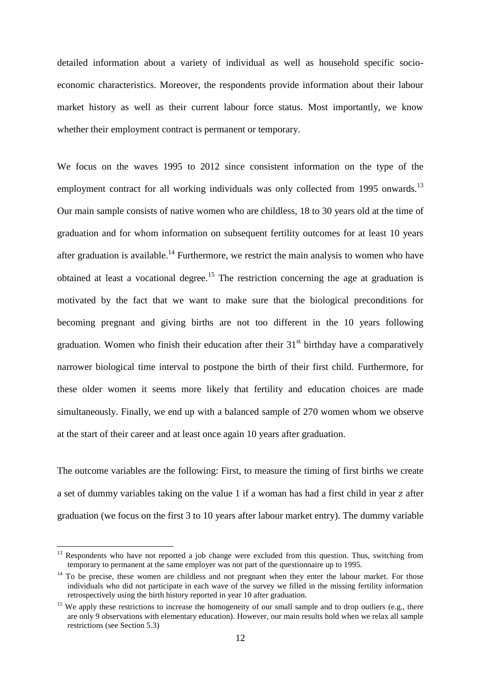detailed information about a variety of individual as well as household specific socioeconomic characteristics. Moreover, the respondents provide information about their labour market history as well as their current labour force status. Most importantly, we know whether their employment contract is permanent or temporary.

We focus on the waves 1995 to 2012 since consistent information on the type of the employment contract for all working individuals was only collected from 1995 onwards.<sup>13</sup> Our main sample consists of native women who are childless, 18 to 30 years old at the time of graduation and for whom information on subsequent fertility outcomes for at least 10 years after graduation is available.<sup>14</sup> Furthermore, we restrict the main analysis to women who have obtained at least a vocational degree.<sup>15</sup> The restriction concerning the age at graduation is motivated by the fact that we want to make sure that the biological preconditions for becoming pregnant and giving births are not too different in the 10 years following graduation. Women who finish their education after their  $31<sup>st</sup>$  birthday have a comparatively narrower biological time interval to postpone the birth of their first child. Furthermore, for these older women it seems more likely that fertility and education choices are made simultaneously. Finally, we end up with a balanced sample of 270 women whom we observe at the start of their career and at least once again 10 years after graduation.

The outcome variables are the following: First, to measure the timing of first births we create a set of dummy variables taking on the value 1 if a woman has had a first child in year z after graduation (we focus on the first 3 to 10 years after labour market entry). The dummy variable

1

<sup>&</sup>lt;sup>13</sup> Respondents who have not reported a job change were excluded from this question. Thus, switching from temporary to permanent at the same employer was not part of the questionnaire up to 1995.

<sup>&</sup>lt;sup>14</sup> To be precise, these women are childless and not pregnant when they enter the labour market. For those individuals who did not participate in each wave of the survey we filled in the missing fertility information retrospectively using the birth history reported in year 10 after graduation.

<sup>&</sup>lt;sup>15</sup> We apply these restrictions to increase the homogeneity of our small sample and to drop outliers (e.g., there are only 9 observations with elementary education). However, our main results hold when we relax all sample restrictions (see Section 5.3)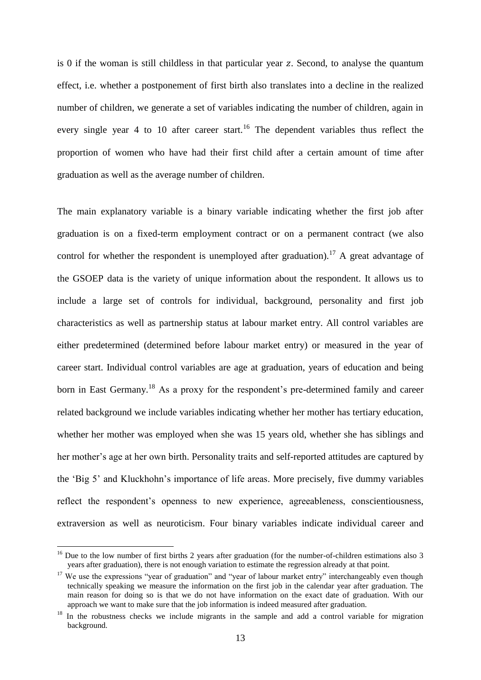is 0 if the woman is still childless in that particular year z. Second, to analyse the quantum effect, i.e. whether a postponement of first birth also translates into a decline in the realized number of children, we generate a set of variables indicating the number of children, again in every single year 4 to 10 after career start.<sup>16</sup> The dependent variables thus reflect the proportion of women who have had their first child after a certain amount of time after graduation as well as the average number of children.

The main explanatory variable is a binary variable indicating whether the first job after graduation is on a fixed-term employment contract or on a permanent contract (we also control for whether the respondent is unemployed after graduation).<sup>17</sup> A great advantage of the GSOEP data is the variety of unique information about the respondent. It allows us to include a large set of controls for individual, background, personality and first job characteristics as well as partnership status at labour market entry. All control variables are either predetermined (determined before labour market entry) or measured in the year of career start. Individual control variables are age at graduation, years of education and being born in East Germany.<sup>18</sup> As a proxy for the respondent's pre-determined family and career related background we include variables indicating whether her mother has tertiary education, whether her mother was employed when she was 15 years old, whether she has siblings and her mother's age at her own birth. Personality traits and self-reported attitudes are captured by the 'Big 5' and Kluckhohn's importance of life areas. More precisely, five dummy variables reflect the respondent's openness to new experience, agreeableness, conscientiousness, extraversion as well as neuroticism. Four binary variables indicate individual career and

1

 $16$  Due to the low number of first births 2 years after graduation (for the number-of-children estimations also 3 years after graduation), there is not enough variation to estimate the regression already at that point.

<sup>&</sup>lt;sup>17</sup> We use the expressions "year of graduation" and "year of labour market entry" interchangeably even though technically speaking we measure the information on the first job in the calendar year after graduation. The main reason for doing so is that we do not have information on the exact date of graduation. With our approach we want to make sure that the job information is indeed measured after graduation.

<sup>&</sup>lt;sup>18</sup> In the robustness checks we include migrants in the sample and add a control variable for migration background.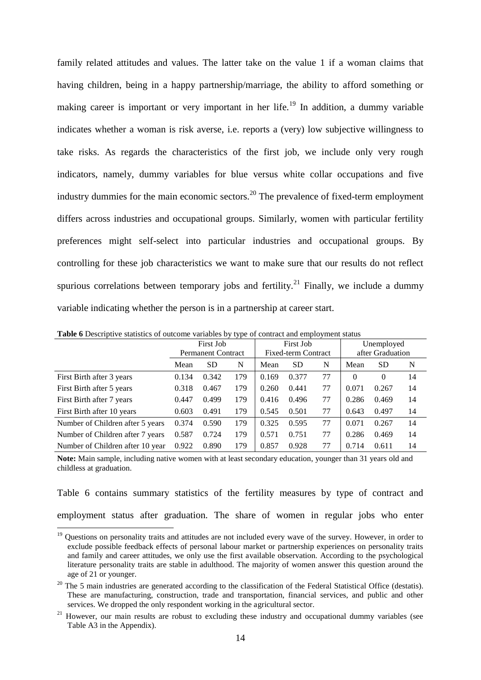family related attitudes and values. The latter take on the value 1 if a woman claims that having children, being in a happy partnership/marriage, the ability to afford something or making career is important or very important in her life.<sup>19</sup> In addition, a dummy variable indicates whether a woman is risk averse, i.e. reports a (very) low subjective willingness to take risks. As regards the characteristics of the first job, we include only very rough indicators, namely, dummy variables for blue versus white collar occupations and five industry dummies for the main economic sectors.<sup>20</sup> The prevalence of fixed-term employment differs across industries and occupational groups. Similarly, women with particular fertility preferences might self-select into particular industries and occupational groups. By controlling for these job characteristics we want to make sure that our results do not reflect spurious correlations between temporary jobs and fertility.<sup>21</sup> Finally, we include a dummy variable indicating whether the person is in a partnership at career start.

|                                  | First Job |                           | <b>First Job</b> |                            |           | Unemployed |          |                  |    |
|----------------------------------|-----------|---------------------------|------------------|----------------------------|-----------|------------|----------|------------------|----|
|                                  |           | <b>Permanent Contract</b> |                  | <b>Fixed-term Contract</b> |           |            |          | after Graduation |    |
|                                  | Mean      | <b>SD</b>                 | N                | Mean                       | <b>SD</b> | N          | Mean     | <b>SD</b>        | N  |
| First Birth after 3 years        | 0.134     | 0.342                     | 179              | 0.169                      | 0.377     | 77         | $\Omega$ | $\theta$         | 14 |
| First Birth after 5 years        | 0.318     | 0.467                     | 179              | 0.260                      | 0.441     | 77         | 0.071    | 0.267            | 14 |
| First Birth after 7 years        | 0.447     | 0.499                     | 179              | 0.416                      | 0.496     | 77         | 0.286    | 0.469            | 14 |
| First Birth after 10 years       | 0.603     | 0.491                     | 179              | 0.545                      | 0.501     | 77         | 0.643    | 0.497            | 14 |
| Number of Children after 5 years | 0.374     | 0.590                     | 179              | 0.325                      | 0.595     | 77         | 0.071    | 0.267            | 14 |
| Number of Children after 7 years | 0.587     | 0.724                     | 179              | 0.571                      | 0.751     | 77         | 0.286    | 0.469            | 14 |
| Number of Children after 10 year | 0.922     | 0.890                     | 179              | 0.857                      | 0.928     | 77         | 0.714    | 0.611            | 14 |

**Table 6** Descriptive statistics of outcome variables by type of contract and employment status

**Note:** Main sample, including native women with at least secondary education, younger than 31 years old and childless at graduation.

Table 6 contains summary statistics of the fertility measures by type of contract and employment status after graduation. The share of women in regular jobs who enter

<sup>&</sup>lt;u>.</u> <sup>19</sup> Questions on personality traits and attitudes are not included every wave of the survey. However, in order to exclude possible feedback effects of personal labour market or partnership experiences on personality traits and family and career attitudes, we only use the first available observation. According to the psychological literature personality traits are stable in adulthood. The majority of women answer this question around the age of 21 or younger.

 $20$  The 5 main industries are generated according to the classification of the Federal Statistical Office (destatis). These are manufacturing, construction, trade and transportation, financial services, and public and other services. We dropped the only respondent working in the agricultural sector.

<sup>&</sup>lt;sup>21</sup> However, our main results are robust to excluding these industry and occupational dummy variables (see [Table A3](#page-36-0) in the Appendix).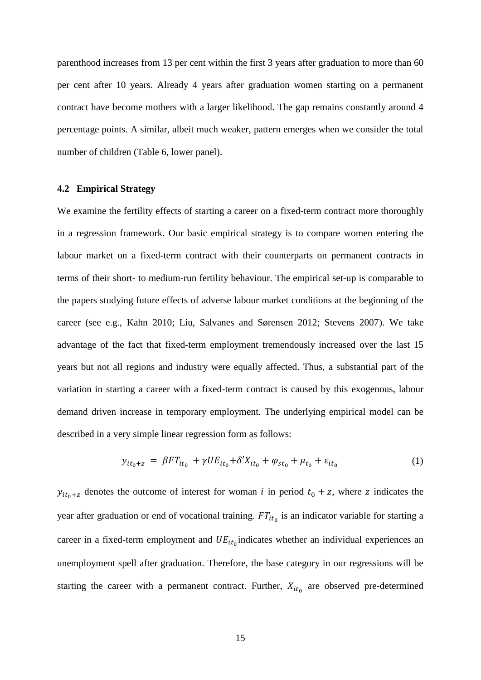parenthood increases from 13 per cent within the first 3 years after graduation to more than 60 per cent after 10 years. Already 4 years after graduation women starting on a permanent contract have become mothers with a larger likelihood. The gap remains constantly around 4 percentage points. A similar, albeit much weaker, pattern emerges when we consider the total number of children (Table 6, lower panel).

#### **4.2 Empirical Strategy**

We examine the fertility effects of starting a career on a fixed-term contract more thoroughly in a regression framework. Our basic empirical strategy is to compare women entering the labour market on a fixed-term contract with their counterparts on permanent contracts in terms of their short- to medium-run fertility behaviour. The empirical set-up is comparable to the papers studying future effects of adverse labour market conditions at the beginning of the career (see e.g., Kahn 2010; Liu, Salvanes and Sørensen 2012; Stevens 2007). We take advantage of the fact that fixed-term employment tremendously increased over the last 15 years but not all regions and industry were equally affected. Thus, a substantial part of the variation in starting a career with a fixed-term contract is caused by this exogenous, labour demand driven increase in temporary employment. The underlying empirical model can be described in a very simple linear regression form as follows:

$$
y_{it_0+z} = \beta F T_{it_0} + \gamma U E_{it_0} + \delta' X_{it_0} + \varphi_{st_0} + \mu_{t_0} + \varepsilon_{it_0}
$$
 (1)

 $y_{it_0+z}$  denotes the outcome of interest for woman i in period  $t_0 + z$ , where z indicates the year after graduation or end of vocational training.  $FT_{it}$  is an indicator variable for starting a career in a fixed-term employment and  $UE_{it}$  indicates whether an individual experiences an unemployment spell after graduation. Therefore, the base category in our regressions will be starting the career with a permanent contract. Further,  $X_{it}$  are observed pre-determined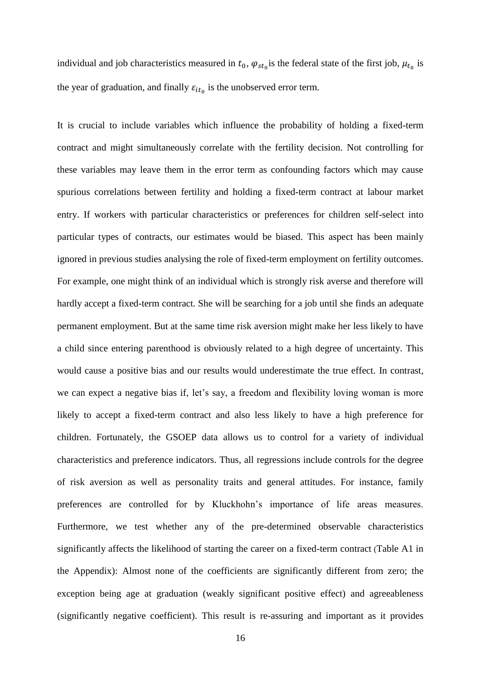individual and job characteristics measured in  $t_0$ ,  $\varphi_{st_0}$  is the federal state of the first job,  $\mu_{t_0}$  is the year of graduation, and finally  $\varepsilon_{it_0}$  is the unobserved error term.

It is crucial to include variables which influence the probability of holding a fixed-term contract and might simultaneously correlate with the fertility decision. Not controlling for these variables may leave them in the error term as confounding factors which may cause spurious correlations between fertility and holding a fixed-term contract at labour market entry. If workers with particular characteristics or preferences for children self-select into particular types of contracts, our estimates would be biased. This aspect has been mainly ignored in previous studies analysing the role of fixed-term employment on fertility outcomes. For example, one might think of an individual which is strongly risk averse and therefore will hardly accept a fixed-term contract. She will be searching for a job until she finds an adequate permanent employment. But at the same time risk aversion might make her less likely to have a child since entering parenthood is obviously related to a high degree of uncertainty. This would cause a positive bias and our results would underestimate the true effect. In contrast, we can expect a negative bias if, let's say, a freedom and flexibility loving woman is more likely to accept a fixed-term contract and also less likely to have a high preference for children. Fortunately, the GSOEP data allows us to control for a variety of individual characteristics and preference indicators. Thus, all regressions include controls for the degree of risk aversion as well as personality traits and general attitudes. For instance, family preferences are controlled for by Kluckhohn's importance of life areas measures. Furthermore, we test whether any of the pre-determined observable characteristics significantly affects the likelihood of starting the career on a fixed-term contract ([Table A1](#page-34-0) in the Appendix): Almost none of the coefficients are significantly different from zero; the exception being age at graduation (weakly significant positive effect) and agreeableness (significantly negative coefficient). This result is re-assuring and important as it provides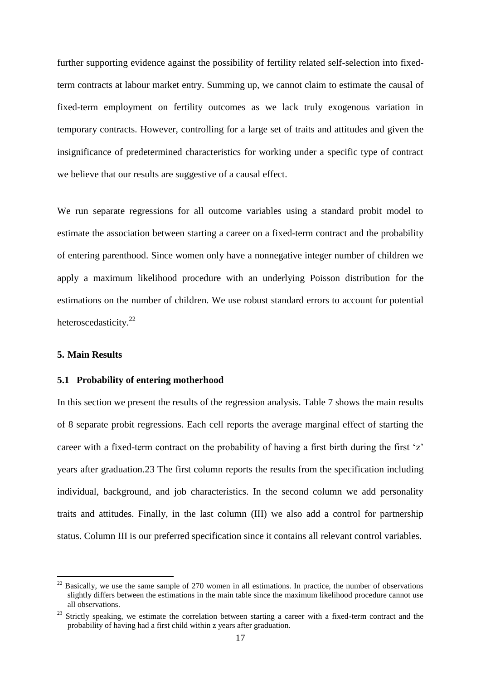further supporting evidence against the possibility of fertility related self-selection into fixedterm contracts at labour market entry. Summing up, we cannot claim to estimate the causal of fixed-term employment on fertility outcomes as we lack truly exogenous variation in temporary contracts. However, controlling for a large set of traits and attitudes and given the insignificance of predetermined characteristics for working under a specific type of contract we believe that our results are suggestive of a causal effect.

We run separate regressions for all outcome variables using a standard probit model to estimate the association between starting a career on a fixed-term contract and the probability of entering parenthood. Since women only have a nonnegative integer number of children we apply a maximum likelihood procedure with an underlying Poisson distribution for the estimations on the number of children. We use robust standard errors to account for potential heteroscedasticity.<sup>22</sup>

#### **5. Main Results**

1

#### **5.1 Probability of entering motherhood**

In this section we present the results of the regression analysis. [Table 7](#page-20-0) shows the main results of 8 separate probit regressions. Each cell reports the average marginal effect of starting the career with a fixed-term contract on the probability of having a first birth during the first 'z' years after graduation.23 The first column reports the results from the specification including individual, background, and job characteristics. In the second column we add personality traits and attitudes. Finally, in the last column (III) we also add a control for partnership status. Column III is our preferred specification since it contains all relevant control variables.

 $22$  Basically, we use the same sample of 270 women in all estimations. In practice, the number of observations slightly differs between the estimations in the main table since the maximum likelihood procedure cannot use all observations.

 $23$  Strictly speaking, we estimate the correlation between starting a career with a fixed-term contract and the probability of having had a first child within z years after graduation.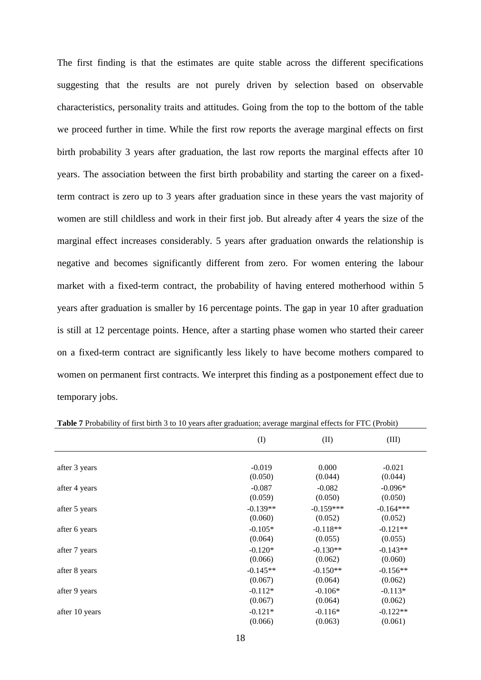The first finding is that the estimates are quite stable across the different specifications suggesting that the results are not purely driven by selection based on observable characteristics, personality traits and attitudes. Going from the top to the bottom of the table we proceed further in time. While the first row reports the average marginal effects on first birth probability 3 years after graduation, the last row reports the marginal effects after 10 years. The association between the first birth probability and starting the career on a fixedterm contract is zero up to 3 years after graduation since in these years the vast majority of women are still childless and work in their first job. But already after 4 years the size of the marginal effect increases considerably. 5 years after graduation onwards the relationship is negative and becomes significantly different from zero. For women entering the labour market with a fixed-term contract, the probability of having entered motherhood within 5 years after graduation is smaller by 16 percentage points. The gap in year 10 after graduation is still at 12 percentage points. Hence, after a starting phase women who started their career on a fixed-term contract are significantly less likely to have become mothers compared to women on permanent first contracts. We interpret this finding as a postponement effect due to temporary jobs.

|                | (I)        | (II)        | (III)       |
|----------------|------------|-------------|-------------|
| after 3 years  | $-0.019$   | 0.000       | $-0.021$    |
|                | (0.050)    | (0.044)     | (0.044)     |
| after 4 years  | $-0.087$   | $-0.082$    | $-0.096*$   |
|                | (0.059)    | (0.050)     | (0.050)     |
| after 5 years  | $-0.139**$ | $-0.159***$ | $-0.164***$ |
|                | (0.060)    | (0.052)     | (0.052)     |
| after 6 years  | $-0.105*$  | $-0.118**$  | $-0.121**$  |
|                | (0.064)    | (0.055)     | (0.055)     |
| after 7 years  | $-0.120*$  | $-0.130**$  | $-0.143**$  |
|                | (0.066)    | (0.062)     | (0.060)     |
| after 8 years  | $-0.145**$ | $-0.150**$  | $-0.156**$  |
|                | (0.067)    | (0.064)     | (0.062)     |
| after 9 years  | $-0.112*$  | $-0.106*$   | $-0.113*$   |
|                | (0.067)    | (0.064)     | (0.062)     |
| after 10 years | $-0.121*$  | $-0.116*$   | $-0.122**$  |
|                | (0.066)    | (0.063)     | (0.061)     |

<span id="page-20-0"></span>**Table 7** Probability of first birth 3 to 10 years after graduation; average marginal effects for FTC (Probit)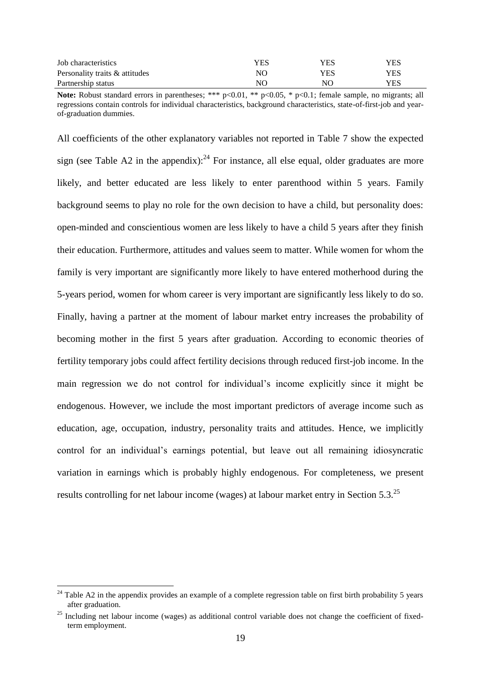| Job characteristics            | YES | YES | YES |
|--------------------------------|-----|-----|-----|
| Personality traits & attitudes | NΟ  | YES | YES |
| Partnership status             | NΟ  | NO  | YES |

**Note:** Robust standard errors in parentheses; \*\*\* p<0.01, \*\* p<0.05, \* p<0.1; female sample, no migrants; all regressions contain controls for individual characteristics, background characteristics, state-of-first-job and yearof-graduation dummies.

All coefficients of the other explanatory variables not reported in [Table 7](#page-20-0) show the expected sign (see [Table A2](#page-35-0) in the appendix): $^{24}$  For instance, all else equal, older graduates are more likely, and better educated are less likely to enter parenthood within 5 years. Family background seems to play no role for the own decision to have a child, but personality does: open-minded and conscientious women are less likely to have a child 5 years after they finish their education. Furthermore, attitudes and values seem to matter. While women for whom the family is very important are significantly more likely to have entered motherhood during the 5-years period, women for whom career is very important are significantly less likely to do so. Finally, having a partner at the moment of labour market entry increases the probability of becoming mother in the first 5 years after graduation. According to economic theories of fertility temporary jobs could affect fertility decisions through reduced first-job income. In the main regression we do not control for individual's income explicitly since it might be endogenous. However, we include the most important predictors of average income such as education, age, occupation, industry, personality traits and attitudes. Hence, we implicitly control for an individual's earnings potential, but leave out all remaining idiosyncratic variation in earnings which is probably highly endogenous. For completeness, we present results controlling for net labour income (wages) at labour market entry in Section 5.3.<sup>25</sup>

 $24$  [Table A2](#page-35-0) in the appendix provides an example of a complete regression table on first birth probability 5 years after graduation.

 $^{25}$  Including net labour income (wages) as additional control variable does not change the coefficient of fixedterm employment.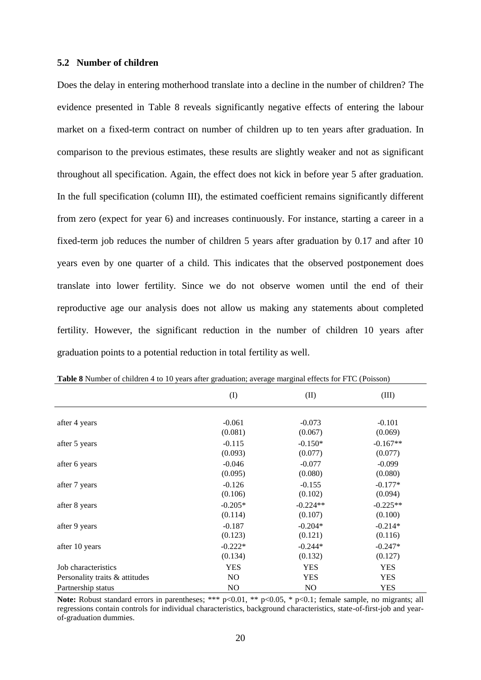#### **5.2 Number of children**

Does the delay in entering motherhood translate into a decline in the number of children? The evidence presented in [Table 8](#page-22-0) reveals significantly negative effects of entering the labour market on a fixed-term contract on number of children up to ten years after graduation. In comparison to the previous estimates, these results are slightly weaker and not as significant throughout all specification. Again, the effect does not kick in before year 5 after graduation. In the full specification (column III), the estimated coefficient remains significantly different from zero (expect for year 6) and increases continuously. For instance, starting a career in a fixed-term job reduces the number of children 5 years after graduation by 0.17 and after 10 years even by one quarter of a child. This indicates that the observed postponement does translate into lower fertility. Since we do not observe women until the end of their reproductive age our analysis does not allow us making any statements about completed fertility. However, the significant reduction in the number of children 10 years after graduation points to a potential reduction in total fertility as well.

|                                | (I)        | (II)           | (III)      |
|--------------------------------|------------|----------------|------------|
| after 4 years                  | $-0.061$   | $-0.073$       | $-0.101$   |
|                                | (0.081)    | (0.067)        | (0.069)    |
| after 5 years                  | $-0.115$   | $-0.150*$      | $-0.167**$ |
|                                | (0.093)    | (0.077)        | (0.077)    |
| after 6 years                  | $-0.046$   | $-0.077$       | $-0.099$   |
|                                | (0.095)    | (0.080)        | (0.080)    |
| after 7 years                  | $-0.126$   | $-0.155$       | $-0.177*$  |
|                                | (0.106)    | (0.102)        | (0.094)    |
| after 8 years                  | $-0.205*$  | $-0.224**$     | $-0.225**$ |
|                                | (0.114)    | (0.107)        | (0.100)    |
| after 9 years                  | $-0.187$   | $-0.204*$      | $-0.214*$  |
|                                | (0.123)    | (0.121)        | (0.116)    |
| after 10 years                 | $-0.222*$  | $-0.244*$      | $-0.247*$  |
|                                | (0.134)    | (0.132)        | (0.127)    |
| Job characteristics            | <b>YES</b> | <b>YES</b>     | <b>YES</b> |
| Personality traits & attitudes | NO.        | <b>YES</b>     | <b>YES</b> |
| Partnership status             | NO.        | N <sub>O</sub> | <b>YES</b> |

<span id="page-22-0"></span>**Table 8** Number of children 4 to 10 years after graduation; average marginal effects for FTC (Poisson)

**Note:** Robust standard errors in parentheses; \*\*\* p<0.01, \*\* p<0.05, \* p<0.1; female sample, no migrants; all regressions contain controls for individual characteristics, background characteristics, state-of-first-job and yearof-graduation dummies.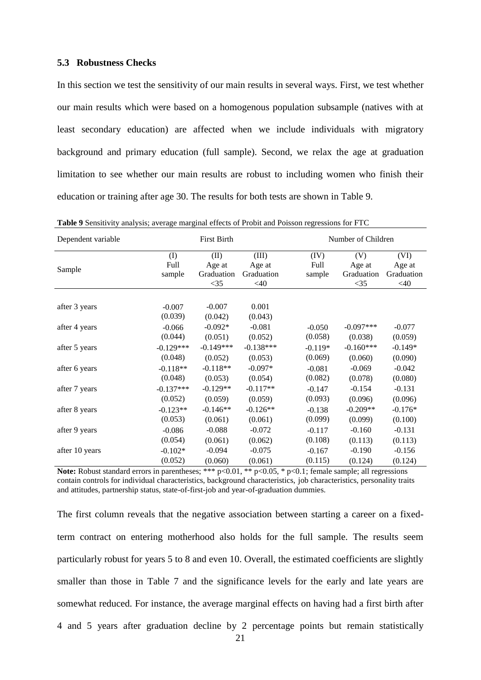#### **5.3 Robustness Checks**

In this section we test the sensitivity of our main results in several ways. First, we test whether our main results which were based on a homogenous population subsample (natives with at least secondary education) are affected when we include individuals with migratory background and primary education (full sample). Second, we relax the age at graduation limitation to see whether our main results are robust to including women who finish their education or training after age 30. The results for both tests are shown in [Table 9.](#page-23-0)

<span id="page-23-0"></span>

| <b>Table 9</b> Sensitivity analysis; average marginal effects of Probit and Poisson regressions for FTC |  |  |
|---------------------------------------------------------------------------------------------------------|--|--|
|---------------------------------------------------------------------------------------------------------|--|--|

| Dependent variable            |                              | <b>First Birth</b>                     |                                         |                        | Number of Children                    |                                        |
|-------------------------------|------------------------------|----------------------------------------|-----------------------------------------|------------------------|---------------------------------------|----------------------------------------|
| Sample                        | (1)<br><b>Full</b><br>sample | (II)<br>Age at<br>Graduation<br>$<$ 35 | (III)<br>Age at<br>Graduation<br>$<$ 40 | (IV)<br>Full<br>sample | (V)<br>Age at<br>Graduation<br>$<$ 35 | (VI)<br>Age at<br>Graduation<br>$<$ 40 |
| after 3 years                 | $-0.007$<br>(0.039)          | $-0.007$<br>(0.042)                    | 0.001<br>(0.043)                        |                        |                                       |                                        |
| after 4 years                 | $-0.066$                     | $-0.092*$                              | $-0.081$                                | $-0.050$               | $-0.097***$                           | $-0.077$                               |
|                               | (0.044)                      | (0.051)                                | (0.052)                                 | (0.058)                | (0.038)                               | (0.059)                                |
| after 5 years                 | $-0.129***$                  | $-0.149***$                            | $-0.138***$                             | $-0.119*$              | $-0.160***$                           | $-0.149*$                              |
|                               | (0.048)                      | (0.052)                                | (0.053)                                 | (0.069)                | (0.060)                               | (0.090)                                |
| after 6 years                 | $-0.118**$                   | $-0.118**$                             | $-0.097*$                               | $-0.081$               | $-0.069$                              | $-0.042$                               |
|                               | (0.048)                      | (0.053)                                | (0.054)                                 | (0.082)                | (0.078)                               | (0.080)                                |
| after 7 years                 | $-0.137***$                  | $-0.129**$                             | $-0.117**$                              | $-0.147$               | $-0.154$                              | $-0.131$                               |
|                               | (0.052)                      | (0.059)                                | (0.059)                                 | (0.093)                | (0.096)                               | (0.096)                                |
| after 8 years                 | $-0.123**$                   | $-0.146**$                             | $-0.126**$                              | $-0.138$               | $-0.209**$                            | $-0.176*$                              |
|                               | (0.053)                      | (0.061)                                | (0.061)                                 | (0.099)                | (0.099)                               | (0.100)                                |
| after 9 years                 | $-0.086$                     | $-0.088$                               | $-0.072$                                | $-0.117$               | $-0.160$                              | $-0.131$                               |
| after 10 years                | (0.054)                      | (0.061)                                | (0.062)                                 | (0.108)                | (0.113)                               | (0.113)                                |
|                               | $-0.102*$                    | $-0.094$                               | $-0.075$                                | $-0.167$               | $-0.190$                              | $-0.156$                               |
|                               | (0.052)                      | (0.060)                                | (0.061)                                 | (0.115)                | (0.124)                               | (0.124)                                |
| $\mathbf{r}$ . $\mathbf{r}$ . |                              |                                        |                                         |                        |                                       |                                        |

Note: Robust standard errors in parentheses; \*\*\* p<0.01, \*\* p<0.05, \* p<0.1; female sample; all regressions contain controls for individual characteristics, background characteristics, job characteristics, personality traits and attitudes, partnership status, state-of-first-job and year-of-graduation dummies.

The first column reveals that the negative association between starting a career on a fixedterm contract on entering motherhood also holds for the full sample. The results seem particularly robust for years 5 to 8 and even 10. Overall, the estimated coefficients are slightly smaller than those in [Table 7](#page-20-0) and the significance levels for the early and late years are somewhat reduced. For instance, the average marginal effects on having had a first birth after 4 and 5 years after graduation decline by 2 percentage points but remain statistically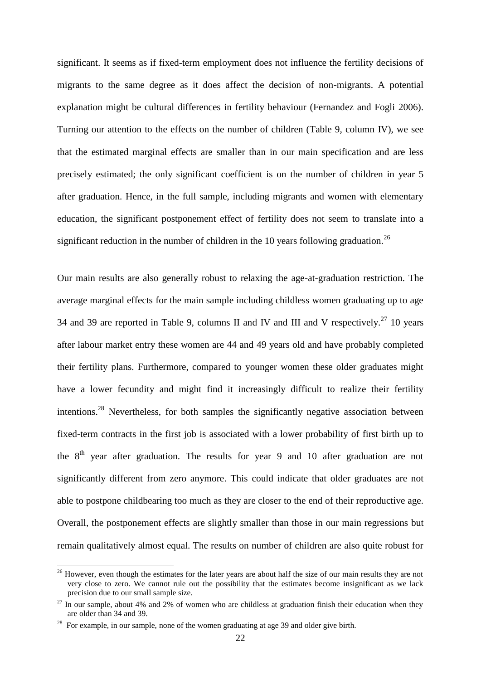significant. It seems as if fixed-term employment does not influence the fertility decisions of migrants to the same degree as it does affect the decision of non-migrants. A potential explanation might be cultural differences in fertility behaviour (Fernandez and Fogli 2006). Turning our attention to the effects on the number of children [\(Table 9,](#page-23-0) column IV), we see that the estimated marginal effects are smaller than in our main specification and are less precisely estimated; the only significant coefficient is on the number of children in year 5 after graduation. Hence, in the full sample, including migrants and women with elementary education, the significant postponement effect of fertility does not seem to translate into a significant reduction in the number of children in the 10 years following graduation.<sup>26</sup>

Our main results are also generally robust to relaxing the age-at-graduation restriction. The average marginal effects for the main sample including childless women graduating up to age 34 and 39 are reported in [Table 9,](#page-23-0) columns II and IV and III and V respectively.<sup>27</sup> 10 years after labour market entry these women are 44 and 49 years old and have probably completed their fertility plans. Furthermore, compared to younger women these older graduates might have a lower fecundity and might find it increasingly difficult to realize their fertility intentions.<sup>28</sup> Nevertheless, for both samples the significantly negative association between fixed-term contracts in the first job is associated with a lower probability of first birth up to the  $8<sup>th</sup>$  year after graduation. The results for year 9 and 10 after graduation are not significantly different from zero anymore. This could indicate that older graduates are not able to postpone childbearing too much as they are closer to the end of their reproductive age. Overall, the postponement effects are slightly smaller than those in our main regressions but remain qualitatively almost equal. The results on number of children are also quite robust for

<sup>&</sup>lt;sup>26</sup> However, even though the estimates for the later years are about half the size of our main results they are not very close to zero. We cannot rule out the possibility that the estimates become insignificant as we lack precision due to our small sample size.

 $27$  In our sample, about 4% and 2% of women who are childless at graduation finish their education when they are older than 34 and 39.

<sup>&</sup>lt;sup>28</sup> For example, in our sample, none of the women graduating at age 39 and older give birth.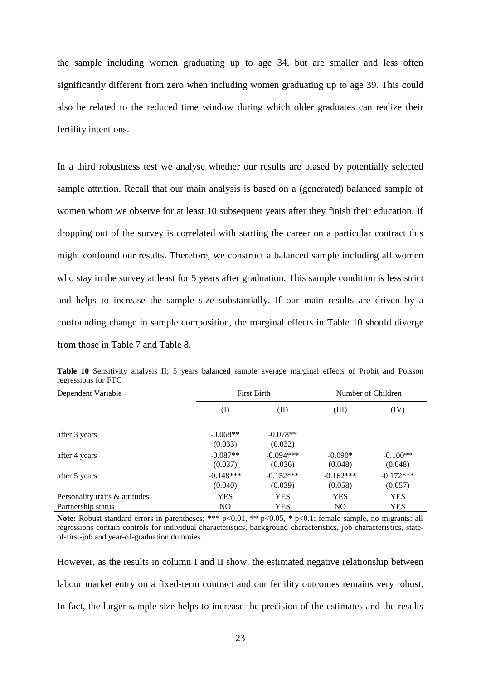the sample including women graduating up to age 34, but are smaller and less often significantly different from zero when including women graduating up to age 39. This could also be related to the reduced time window during which older graduates can realize their fertility intentions.

In a third robustness test we analyse whether our results are biased by potentially selected sample attrition. Recall that our main analysis is based on a (generated) balanced sample of women whom we observe for at least 10 subsequent years after they finish their education. If dropping out of the survey is correlated with starting the career on a particular contract this might confound our results. Therefore, we construct a balanced sample including all women who stay in the survey at least for 5 years after graduation. This sample condition is less strict and helps to increase the sample size substantially. If our main results are driven by a confounding change in sample composition, the marginal effects in [Table 10](#page-25-0) should diverge from those in [Table 7](#page-20-0) and [Table 8.](#page-22-0)

| Dependent Variable             |                        | <b>First Birth</b>     | Number of Children     |                        |  |
|--------------------------------|------------------------|------------------------|------------------------|------------------------|--|
|                                | $\rm (I)$              | (II)                   | (III)                  | (IV)                   |  |
| after 3 years                  | $-0.068**$<br>(0.033)  | $-0.078**$<br>(0.032)  |                        |                        |  |
| after 4 years                  | $-0.087**$<br>(0.037)  | $-0.094***$<br>(0.036) | $-0.090*$<br>(0.048)   | $-0.100**$<br>(0.048)  |  |
| after 5 years                  | $-0.148***$<br>(0.040) | $-0.152***$<br>(0.039) | $-0.162***$<br>(0.058) | $-0.172***$<br>(0.057) |  |
| Personality traits & attitudes | <b>YES</b>             | <b>YES</b>             | <b>YES</b>             | <b>YES</b>             |  |
| Partnership status             | N <sub>O</sub>         | <b>YES</b>             | N <sub>O</sub>         | <b>YES</b>             |  |

<span id="page-25-0"></span>**Table 10** Sensitivity analysis II; 5 years balanced sample average marginal effects of Probit and Poisson regressions for FTC

**Note:** Robust standard errors in parentheses; \*\*\* p<0.01, \*\* p<0.05, \* p<0.1; female sample, no migrants; all regressions contain controls for individual characteristics, background characteristics, job characteristics, stateof-first-job and year-of-graduation dummies.

However, as the results in column I and II show, the estimated negative relationship between labour market entry on a fixed-term contract and our fertility outcomes remains very robust. In fact, the larger sample size helps to increase the precision of the estimates and the results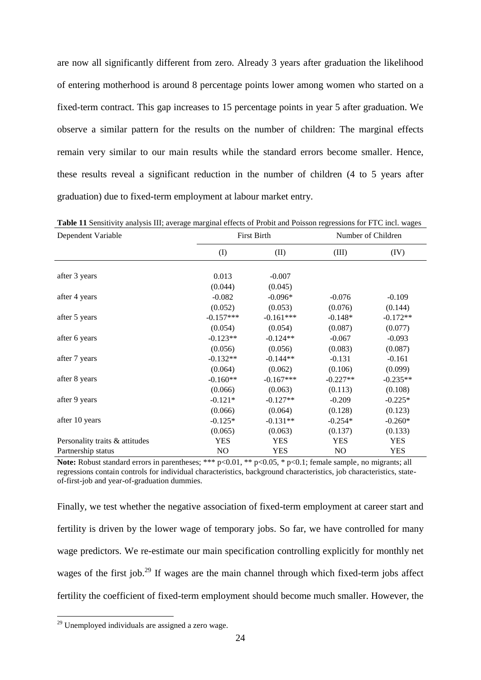are now all significantly different from zero. Already 3 years after graduation the likelihood of entering motherhood is around 8 percentage points lower among women who started on a fixed-term contract. This gap increases to 15 percentage points in year 5 after graduation. We observe a similar pattern for the results on the number of children: The marginal effects remain very similar to our main results while the standard errors become smaller. Hence, these results reveal a significant reduction in the number of children (4 to 5 years after graduation) due to fixed-term employment at labour market entry.

| Dependent Variable             | <b>First Birth</b> |             | Number of Children |            |
|--------------------------------|--------------------|-------------|--------------------|------------|
|                                | (I)                | (II)        | (III)              | (IV)       |
| after 3 years                  | 0.013              | $-0.007$    |                    |            |
|                                | (0.044)            | (0.045)     |                    |            |
| after 4 years                  | $-0.082$           | $-0.096*$   | $-0.076$           | $-0.109$   |
|                                | (0.052)            | (0.053)     | (0.076)            | (0.144)    |
| after 5 years                  | $-0.157***$        | $-0.161***$ | $-0.148*$          | $-0.172**$ |
|                                | (0.054)            | (0.054)     | (0.087)            | (0.077)    |
| after 6 years                  | $-0.123**$         | $-0.124**$  | $-0.067$           | $-0.093$   |
|                                | (0.056)            | (0.056)     | (0.083)            | (0.087)    |
| after 7 years                  | $-0.132**$         | $-0.144**$  | $-0.131$           | $-0.161$   |
|                                | (0.064)            | (0.062)     | (0.106)            | (0.099)    |
| after 8 years                  | $-0.160**$         | $-0.167***$ | $-0.227**$         | $-0.235**$ |
|                                | (0.066)            | (0.063)     | (0.113)            | (0.108)    |
| after 9 years                  | $-0.121*$          | $-0.127**$  | $-0.209$           | $-0.225*$  |
|                                | (0.066)            | (0.064)     | (0.128)            | (0.123)    |
| after 10 years                 | $-0.125*$          | $-0.131**$  | $-0.254*$          | $-0.260*$  |
|                                | (0.065)            | (0.063)     | (0.137)            | (0.133)    |
| Personality traits & attitudes | <b>YES</b>         | <b>YES</b>  | <b>YES</b>         | <b>YES</b> |
| Partnership status             | N <sub>O</sub>     | <b>YES</b>  | N <sub>O</sub>     | <b>YES</b> |

<span id="page-26-0"></span>**Table 11** Sensitivity analysis III; average marginal effects of Probit and Poisson regressions for FTC incl. wages

**Note:** Robust standard errors in parentheses; \*\*\* p<0.01, \*\* p<0.05, \* p<0.1; female sample, no migrants; all regressions contain controls for individual characteristics, background characteristics, job characteristics, stateof-first-job and year-of-graduation dummies.

Finally, we test whether the negative association of fixed-term employment at career start and fertility is driven by the lower wage of temporary jobs. So far, we have controlled for many wage predictors. We re-estimate our main specification controlling explicitly for monthly net wages of the first job.<sup>29</sup> If wages are the main channel through which fixed-term jobs affect fertility the coefficient of fixed-term employment should become much smaller. However, the

 $29$  Unemployed individuals are assigned a zero wage.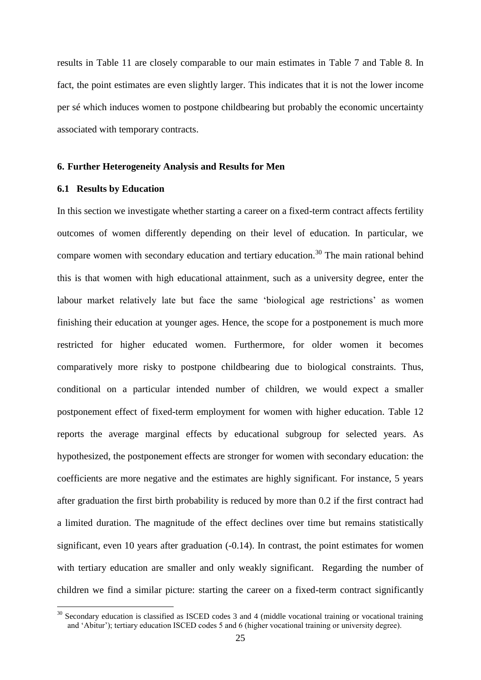results in [Table 11](#page-26-0) are closely comparable to our main estimates in [Table 7](#page-20-0) and [Table 8.](#page-22-0) In fact, the point estimates are even slightly larger. This indicates that it is not the lower income per sé which induces women to postpone childbearing but probably the economic uncertainty associated with temporary contracts.

#### **6. Further Heterogeneity Analysis and Results for Men**

#### **6.1 Results by Education**

<u>.</u>

In this section we investigate whether starting a career on a fixed-term contract affects fertility outcomes of women differently depending on their level of education. In particular, we compare women with secondary education and tertiary education.<sup>30</sup> The main rational behind this is that women with high educational attainment, such as a university degree, enter the labour market relatively late but face the same 'biological age restrictions' as women finishing their education at younger ages. Hence, the scope for a postponement is much more restricted for higher educated women. Furthermore, for older women it becomes comparatively more risky to postpone childbearing due to biological constraints. Thus, conditional on a particular intended number of children, we would expect a smaller postponement effect of fixed-term employment for women with higher education. [Table 12](#page-28-0) reports the average marginal effects by educational subgroup for selected years. As hypothesized, the postponement effects are stronger for women with secondary education: the coefficients are more negative and the estimates are highly significant. For instance, 5 years after graduation the first birth probability is reduced by more than 0.2 if the first contract had a limited duration. The magnitude of the effect declines over time but remains statistically significant, even 10 years after graduation  $(-0.14)$ . In contrast, the point estimates for women with tertiary education are smaller and only weakly significant. Regarding the number of children we find a similar picture: starting the career on a fixed-term contract significantly

 $30$  Secondary education is classified as ISCED codes 3 and 4 (middle vocational training or vocational training and 'Abitur'); tertiary education ISCED codes 5 and 6 (higher vocational training or university degree).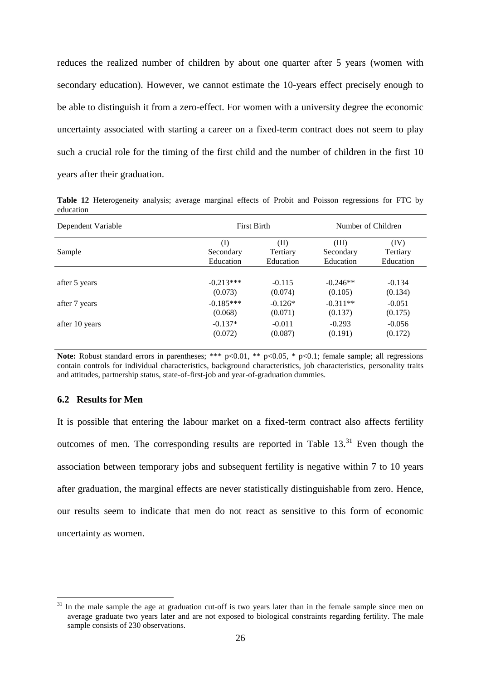reduces the realized number of children by about one quarter after 5 years (women with secondary education). However, we cannot estimate the 10-years effect precisely enough to be able to distinguish it from a zero-effect. For women with a university degree the economic uncertainty associated with starting a career on a fixed-term contract does not seem to play such a crucial role for the timing of the first child and the number of children in the first 10 years after their graduation.

<span id="page-28-0"></span>**Table 12** Heterogeneity analysis; average marginal effects of Probit and Poisson regressions for FTC by education

| Dependent Variable | <b>First Birth</b> |           | Number of Children |           |
|--------------------|--------------------|-----------|--------------------|-----------|
| Sample             | (I)                | (II)      | (III)              | (IV)      |
|                    | Secondary          | Tertiary  | Secondary          | Tertiary  |
|                    | Education          | Education | Education          | Education |
| after 5 years      | $-0.213***$        | $-0.115$  | $-0.246**$         | $-0.134$  |
|                    | (0.073)            | (0.074)   | (0.105)            | (0.134)   |
| after 7 years      | $-0.185***$        | $-0.126*$ | $-0.311**$         | $-0.051$  |
|                    | (0.068)            | (0.071)   | (0.137)            | (0.175)   |
| after 10 years     | $-0.137*$          | $-0.011$  | $-0.293$           | $-0.056$  |
|                    | (0.072)            | (0.087)   | (0.191)            | (0.172)   |

Note: Robust standard errors in parentheses; \*\*\* p<0.01, \*\* p<0.05, \* p<0.1; female sample; all regressions contain controls for individual characteristics, background characteristics, job characteristics, personality traits and attitudes, partnership status, state-of-first-job and year-of-graduation dummies.

#### **6.2 Results for Men**

<u>.</u>

It is possible that entering the labour market on a fixed-term contract also affects fertility outcomes of men. The corresponding results are reported in Table  $13<sup>31</sup>$  Even though the association between temporary jobs and subsequent fertility is negative within 7 to 10 years after graduation, the marginal effects are never statistically distinguishable from zero. Hence, our results seem to indicate that men do not react as sensitive to this form of economic uncertainty as women.

In the male sample the age at graduation cut-off is two years later than in the female sample since men on average graduate two years later and are not exposed to biological constraints regarding fertility. The male sample consists of 230 observations.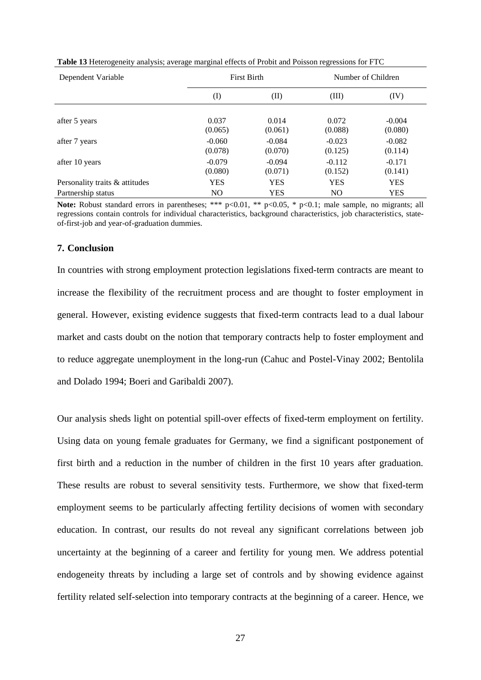| Dependent Variable             | <b>First Birth</b><br>Number of Children |                     |                     |                     |
|--------------------------------|------------------------------------------|---------------------|---------------------|---------------------|
|                                | $\rm (I)$                                | (II)                | (III)               | (IV)                |
| after 5 years                  | 0.037<br>(0.065)                         | 0.014<br>(0.061)    | 0.072<br>(0.088)    | $-0.004$<br>(0.080) |
| after 7 years                  | $-0.060$<br>(0.078)                      | $-0.084$<br>(0.070) | $-0.023$<br>(0.125) | $-0.082$<br>(0.114) |
| after 10 years                 | $-0.079$<br>(0.080)                      | $-0.094$<br>(0.071) | $-0.112$<br>(0.152) | $-0.171$<br>(0.141) |
| Personality traits & attitudes | <b>YES</b>                               | <b>YES</b>          | <b>YES</b>          | <b>YES</b>          |
| Partnership status             | N <sub>O</sub>                           | <b>YES</b>          | <b>NO</b>           | <b>YES</b>          |

<span id="page-29-0"></span>**Table 13** Heterogeneity analysis; average marginal effects of Probit and Poisson regressions for FTC

Note: Robust standard errors in parentheses; \*\*\* p<0.01, \*\* p<0.05, \* p<0.1; male sample, no migrants; all regressions contain controls for individual characteristics, background characteristics, job characteristics, stateof-first-job and year-of-graduation dummies.

#### **7. Conclusion**

In countries with strong employment protection legislations fixed-term contracts are meant to increase the flexibility of the recruitment process and are thought to foster employment in general. However, existing evidence suggests that fixed-term contracts lead to a dual labour market and casts doubt on the notion that temporary contracts help to foster employment and to reduce aggregate unemployment in the long-run (Cahuc and Postel-Vinay 2002; Bentolila and Dolado 1994; Boeri and Garibaldi 2007).

Our analysis sheds light on potential spill-over effects of fixed-term employment on fertility. Using data on young female graduates for Germany, we find a significant postponement of first birth and a reduction in the number of children in the first 10 years after graduation. These results are robust to several sensitivity tests. Furthermore, we show that fixed-term employment seems to be particularly affecting fertility decisions of women with secondary education. In contrast, our results do not reveal any significant correlations between job uncertainty at the beginning of a career and fertility for young men. We address potential endogeneity threats by including a large set of controls and by showing evidence against fertility related self-selection into temporary contracts at the beginning of a career. Hence, we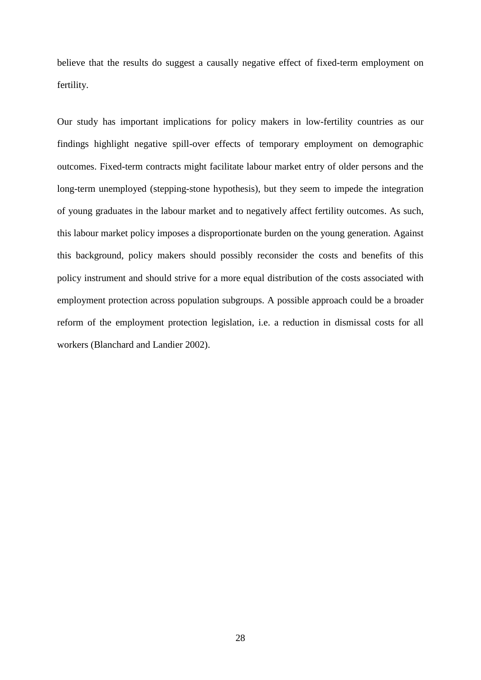believe that the results do suggest a causally negative effect of fixed-term employment on fertility.

Our study has important implications for policy makers in low-fertility countries as our findings highlight negative spill-over effects of temporary employment on demographic outcomes. Fixed-term contracts might facilitate labour market entry of older persons and the long-term unemployed (stepping-stone hypothesis), but they seem to impede the integration of young graduates in the labour market and to negatively affect fertility outcomes. As such, this labour market policy imposes a disproportionate burden on the young generation. Against this background, policy makers should possibly reconsider the costs and benefits of this policy instrument and should strive for a more equal distribution of the costs associated with employment protection across population subgroups. A possible approach could be a broader reform of the employment protection legislation, i.e. a reduction in dismissal costs for all workers (Blanchard and Landier 2002).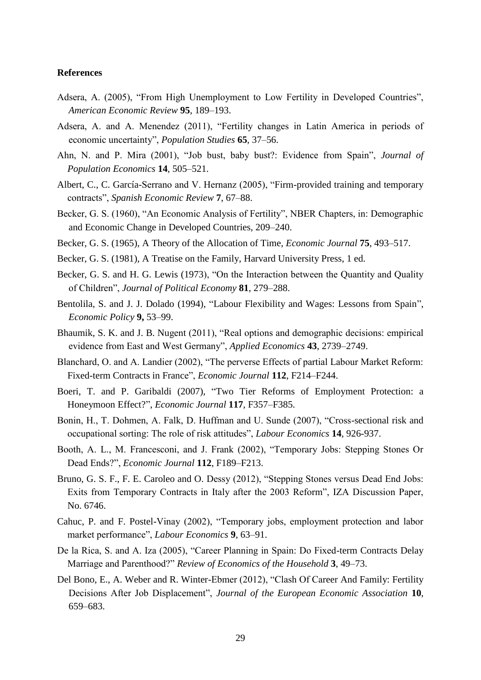#### **References**

- Adsera, A. (2005), "From High Unemployment to Low Fertility in Developed Countries", *American Economic Review* **95**, 189–193.
- Adsera, A. and A. Menendez (2011), "Fertility changes in Latin America in periods of economic uncertainty", *Population Studies* **65**, 37–56.
- Ahn, N. and P. Mira (2001), "Job bust, baby bust?: Evidence from Spain", *Journal of Population Economics* **14**, 505–521.
- Albert, C., C. García-Serrano and V. Hernanz (2005), "Firm-provided training and temporary contracts", *Spanish Economic Review* **7**, 67–88.
- Becker, G. S. (1960), "An Economic Analysis of Fertility", NBER Chapters, in: Demographic and Economic Change in Developed Countries, 209–240.
- Becker, G. S. (1965), A Theory of the Allocation of Time, *Economic Journal* **75**, 493–517.
- Becker, G. S. (1981), A Treatise on the Family, Harvard University Press, 1 ed.
- Becker, G. S. and H. G. Lewis (1973), "On the Interaction between the Quantity and Quality of Children", *Journal of Political Economy* **81**, 279–288.
- Bentolila, S. and J. J. Dolado (1994), "Labour Flexibility and Wages: Lessons from Spain", *Economic Policy* **9,** 53–99.
- Bhaumik, S. K. and J. B. Nugent (2011), "Real options and demographic decisions: empirical evidence from East and West Germany", *Applied Economics* **43**, 2739–2749.
- Blanchard, O. and A. Landier (2002), "The perverse Effects of partial Labour Market Reform: Fixed-term Contracts in France", *Economic Journal* **112**, F214–F244.
- Boeri, T. and P. Garibaldi (2007), "Two Tier Reforms of Employment Protection: a Honeymoon Effect?", *Economic Journal* **117**, F357–F385.
- Bonin, H., T. Dohmen, A. Falk, D. Huffman and U. Sunde (2007), "Cross-sectional risk and occupational sorting: The role of risk attitudes", *Labour Economics* **14**, 926-937.
- Booth, A. L., M. Francesconi, and J. Frank (2002), "Temporary Jobs: Stepping Stones Or Dead Ends?", *Economic Journal* **112**, F189–F213.
- Bruno, G. S. F., F. E. Caroleo and O. Dessy (2012), "Stepping Stones versus Dead End Jobs: Exits from Temporary Contracts in Italy after the 2003 Reform", IZA Discussion Paper, No. 6746.
- Cahuc, P. and F. Postel-Vinay (2002), "Temporary jobs, employment protection and labor market performance", *Labour Economics* **9**, 63–91.
- De la Rica, S. and A. Iza (2005), "Career Planning in Spain: Do Fixed-term Contracts Delay Marriage and Parenthood?" *Review of Economics of the Household* **3**, 49–73.
- Del Bono, E., A. Weber and R. Winter-Ebmer (2012), "Clash Of Career And Family: Fertility Decisions After Job Displacement", *Journal of the European Economic Association* **10**, 659–683.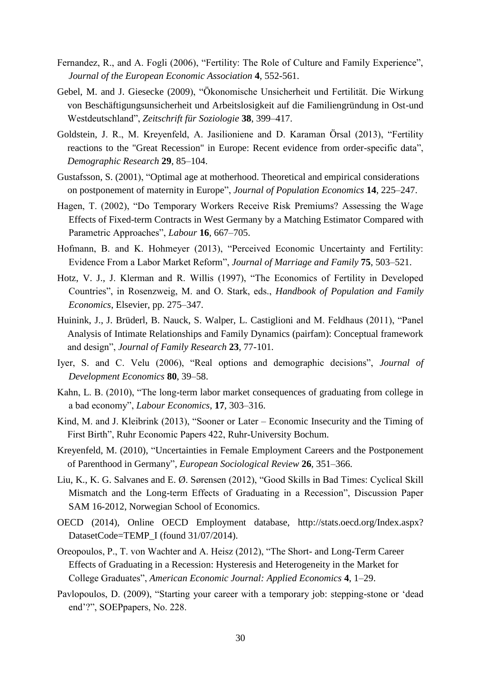- Fernandez, R., and A. Fogli (2006), "Fertility: The Role of Culture and Family Experience", *Journal of the European Economic Association* **4**, 552-561.
- Gebel, M. and J. Giesecke (2009), "Ökonomische Unsicherheit und Fertilität. Die Wirkung von Beschäftigungsunsicherheit und Arbeitslosigkeit auf die Familiengründung in Ost-und Westdeutschland", *Zeitschrift für Soziologie* **38**, 399–417.
- Goldstein, J. R., M. Kreyenfeld, A. Jasilioniene and D. Karaman Örsal (2013), "Fertility reactions to the "Great Recession" in Europe: Recent evidence from order-specific data", *Demographic Research* **29**, 85–104.
- Gustafsson, S. (2001), "Optimal age at motherhood. Theoretical and empirical considerations on postponement of maternity in Europe", *Journal of Population Economics* **14**, 225–247.
- Hagen, T. (2002), "Do Temporary Workers Receive Risk Premiums? Assessing the Wage Effects of Fixed-term Contracts in West Germany by a Matching Estimator Compared with Parametric Approaches", *Labour* **16**, 667–705.
- Hofmann, B. and K. Hohmeyer (2013), "Perceived Economic Uncertainty and Fertility: Evidence From a Labor Market Reform", *Journal of Marriage and Family* **75**, 503–521.
- Hotz, V. J., J. Klerman and R. Willis (1997), "The Economics of Fertility in Developed Countries", in Rosenzweig, M. and O. Stark, eds., *Handbook of Population and Family Economics*, Elsevier, pp. 275–347.
- Huinink, J., J. Brüderl, B. Nauck, S. Walper, L. Castiglioni and M. Feldhaus (2011), "Panel Analysis of Intimate Relationships and Family Dynamics (pairfam): Conceptual framework and design", *Journal of Family Research* **23**, 77-101.
- Iyer, S. and C. Velu (2006), "Real options and demographic decisions", *Journal of Development Economics* **80**, 39–58.
- Kahn, L. B. (2010), "The long-term labor market consequences of graduating from college in a bad economy", *Labour Economics*, **17**, 303–316.
- Kind, M. and J. Kleibrink (2013), "Sooner or Later Economic Insecurity and the Timing of First Birth", Ruhr Economic Papers 422, Ruhr-University Bochum.
- Kreyenfeld, M. (2010), "Uncertainties in Female Employment Careers and the Postponement of Parenthood in Germany", *European Sociological Review* **26**, 351–366.
- Liu, K., K. G. Salvanes and E. Ø. Sørensen (2012), "Good Skills in Bad Times: Cyclical Skill Mismatch and the Long-term Effects of Graduating in a Recession", Discussion Paper SAM 16-2012, Norwegian School of Economics.
- OECD (2014), Online OECD Employment database, [http://stats.oecd.org/Index.aspx?](http://stats.oecd.org/Index.aspx?%20DatasetCode=TEMP_I)  [DatasetCode=TEMP\\_I](http://stats.oecd.org/Index.aspx?%20DatasetCode=TEMP_I) (found 31/07/2014).
- Oreopoulos, P., T. von Wachter and A. Heisz (2012), "The Short- and Long-Term Career Effects of Graduating in a Recession: Hysteresis and Heterogeneity in the Market for College Graduates", *American Economic Journal: Applied Economics* **4**, 1–29.
- Pavlopoulos, D. (2009), "Starting your career with a temporary job: stepping-stone or 'dead end'?", SOEPpapers, No. 228.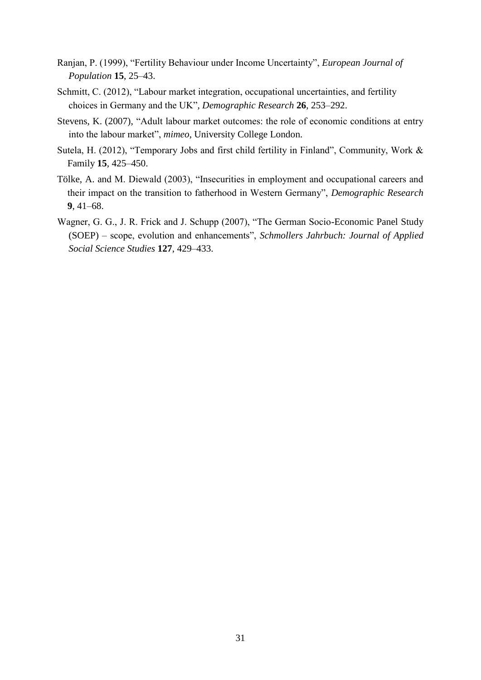- Ranjan, P. (1999), "Fertility Behaviour under Income Uncertainty", *European Journal of Population* **15**, 25–43.
- Schmitt, C. (2012), "Labour market integration, occupational uncertainties, and fertility choices in Germany and the UK", *Demographic Research* **26**, 253–292.
- Stevens, K. (2007), "Adult labour market outcomes: the role of economic conditions at entry into the labour market", *mimeo*, University College London.
- Sutela, H. (2012), "Temporary Jobs and first child fertility in Finland", Community, Work & Family **15**, 425–450.
- Tölke, A. and M. Diewald (2003), "Insecurities in employment and occupational careers and their impact on the transition to fatherhood in Western Germany", *Demographic Research* **9**, 41–68.
- Wagner, G. G., J. R. Frick and J. Schupp (2007), "The German Socio-Economic Panel Study (SOEP) – scope, evolution and enhancements", *Schmollers Jahrbuch: Journal of Applied Social Science Studies* **127**, 429–433.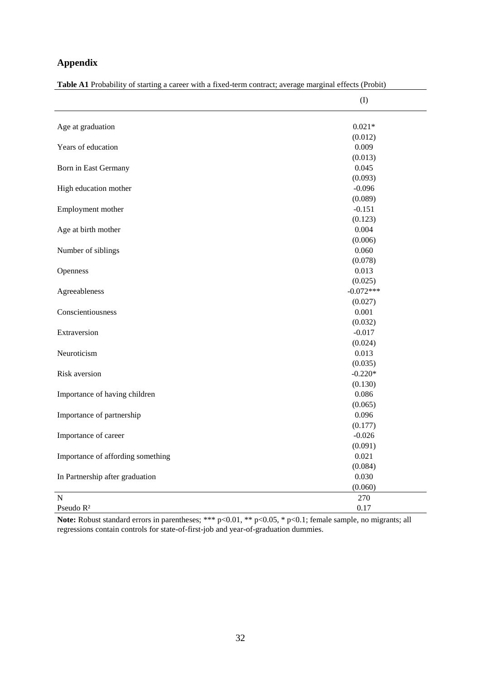### **Appendix**

|                                   | (1)              |
|-----------------------------------|------------------|
| Age at graduation                 | $0.021*$         |
|                                   | (0.012)          |
| Years of education                | 0.009            |
|                                   | (0.013)          |
| Born in East Germany              | 0.045            |
|                                   | (0.093)          |
| High education mother             | $-0.096$         |
|                                   | (0.089)          |
| Employment mother                 | $-0.151$         |
|                                   | (0.123)          |
| Age at birth mother               | 0.004            |
|                                   | (0.006)          |
| Number of siblings                | 0.060            |
|                                   | (0.078)          |
| Openness                          | 0.013            |
|                                   | (0.025)          |
| Agreeableness                     | $-0.072***$      |
|                                   | (0.027)          |
| Conscientiousness                 | 0.001            |
|                                   | (0.032)          |
| Extraversion                      | $-0.017$         |
|                                   | (0.024)          |
| Neuroticism                       | 0.013            |
|                                   | (0.035)          |
| Risk aversion                     | $-0.220*$        |
|                                   | (0.130)          |
| Importance of having children     | 0.086            |
|                                   | (0.065)          |
| Importance of partnership         | 0.096            |
|                                   | (0.177)          |
| Importance of career              | $-0.026$         |
|                                   | (0.091)<br>0.021 |
| Importance of affording something |                  |
| In Partnership after graduation   | (0.084)<br>0.030 |
|                                   | (0.060)          |
| $\mathbf N$                       | 270              |
| Pseudo R <sup>2</sup>             | 0.17             |

<span id="page-34-0"></span>**Table A1** Probability of starting a career with a fixed-term contract; average marginal effects (Probit)

**Note:** Robust standard errors in parentheses; \*\*\* p<0.01, \*\* p<0.05, \* p<0.1; female sample, no migrants; all regressions contain controls for state-of-first-job and year-of-graduation dummies.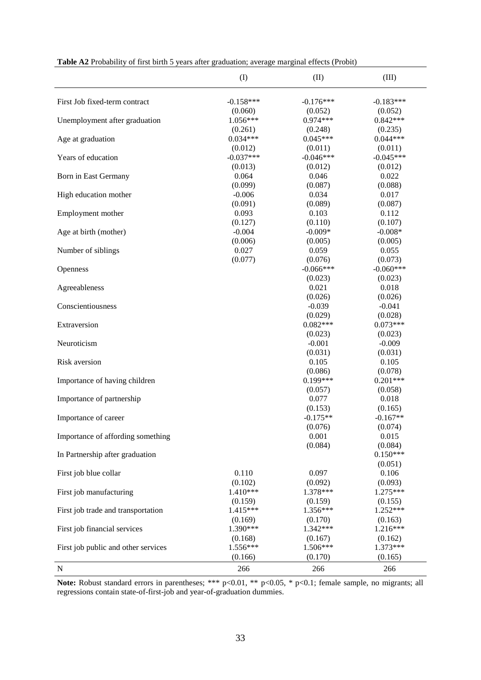|                                     | (1)         | (II)        | (III)       |
|-------------------------------------|-------------|-------------|-------------|
| First Job fixed-term contract       | $-0.158***$ | $-0.176***$ | $-0.183***$ |
|                                     | (0.060)     | (0.052)     | (0.052)     |
| Unemployment after graduation       | $1.056***$  | $0.974***$  | $0.842***$  |
|                                     | (0.261)     | (0.248)     | (0.235)     |
| Age at graduation                   | $0.034***$  | $0.045***$  | $0.044***$  |
|                                     | (0.012)     | (0.011)     | (0.011)     |
| Years of education                  | $-0.037***$ | $-0.046***$ | $-0.045***$ |
|                                     | (0.013)     | (0.012)     | (0.012)     |
| Born in East Germany                | 0.064       | 0.046       | 0.022       |
|                                     | (0.099)     | (0.087)     | (0.088)     |
| High education mother               | $-0.006$    | 0.034       | 0.017       |
|                                     | (0.091)     | (0.089)     | (0.087)     |
| Employment mother                   | 0.093       | 0.103       | 0.112       |
|                                     | (0.127)     | (0.110)     | (0.107)     |
| Age at birth (mother)               | $-0.004$    | $-0.009*$   | $-0.008*$   |
|                                     | (0.006)     | (0.005)     | (0.005)     |
| Number of siblings                  | 0.027       | 0.059       | 0.055       |
|                                     | (0.077)     | (0.076)     | (0.073)     |
| Openness                            |             | $-0.066***$ | $-0.060***$ |
|                                     |             | (0.023)     | (0.023)     |
| Agreeableness                       |             | 0.021       | 0.018       |
|                                     |             | (0.026)     | (0.026)     |
| Conscientiousness                   |             | $-0.039$    | $-0.041$    |
|                                     |             | (0.029)     | (0.028)     |
| Extraversion                        |             | $0.082***$  | $0.073***$  |
|                                     |             | (0.023)     | (0.023)     |
| Neuroticism                         |             | $-0.001$    | $-0.009$    |
|                                     |             | (0.031)     | (0.031)     |
| Risk aversion                       |             | 0.105       | 0.105       |
|                                     |             | (0.086)     | (0.078)     |
| Importance of having children       |             | $0.199***$  | $0.201***$  |
|                                     |             | (0.057)     | (0.058)     |
| Importance of partnership           |             | 0.077       | 0.018       |
|                                     |             | (0.153)     | (0.165)     |
| Importance of career                |             | $-0.175**$  | $-0.167**$  |
|                                     |             | (0.076)     | (0.074)     |
| Importance of affording something   |             | 0.001       | 0.015       |
|                                     |             | (0.084)     | (0.084)     |
| In Partnership after graduation     |             |             | $0.150***$  |
|                                     |             |             | (0.051)     |
| First job blue collar               | 0.110       | 0.097       | 0.106       |
|                                     | (0.102)     | (0.092)     | (0.093)     |
| First job manufacturing             | 1.410***    | 1.378***    | 1.275***    |
|                                     | (0.159)     | (0.159)     | (0.155)     |
| First job trade and transportation  | 1.415***    | 1.356***    | 1.252***    |
|                                     | (0.169)     | (0.170)     | (0.163)     |
| First job financial services        | 1.390***    | 1.342***    | 1.216***    |
|                                     | (0.168)     | (0.167)     | (0.162)     |
| First job public and other services | 1.556***    | 1.506***    | 1.373***    |
|                                     | (0.166)     | (0.170)     | (0.165)     |
| N                                   | 266         | 266         | 266         |

<span id="page-35-0"></span>

| <b>Table A2</b> Probability of first birth 5 years after graduation; average marginal effects (Probit) |  |  |  |  |  |  |  |  |
|--------------------------------------------------------------------------------------------------------|--|--|--|--|--|--|--|--|
|--------------------------------------------------------------------------------------------------------|--|--|--|--|--|--|--|--|

**Note:** Robust standard errors in parentheses; \*\*\* p<0.01, \*\* p<0.05, \* p<0.1; female sample, no migrants; all regressions contain state-of-first-job and year-of-graduation dummies.